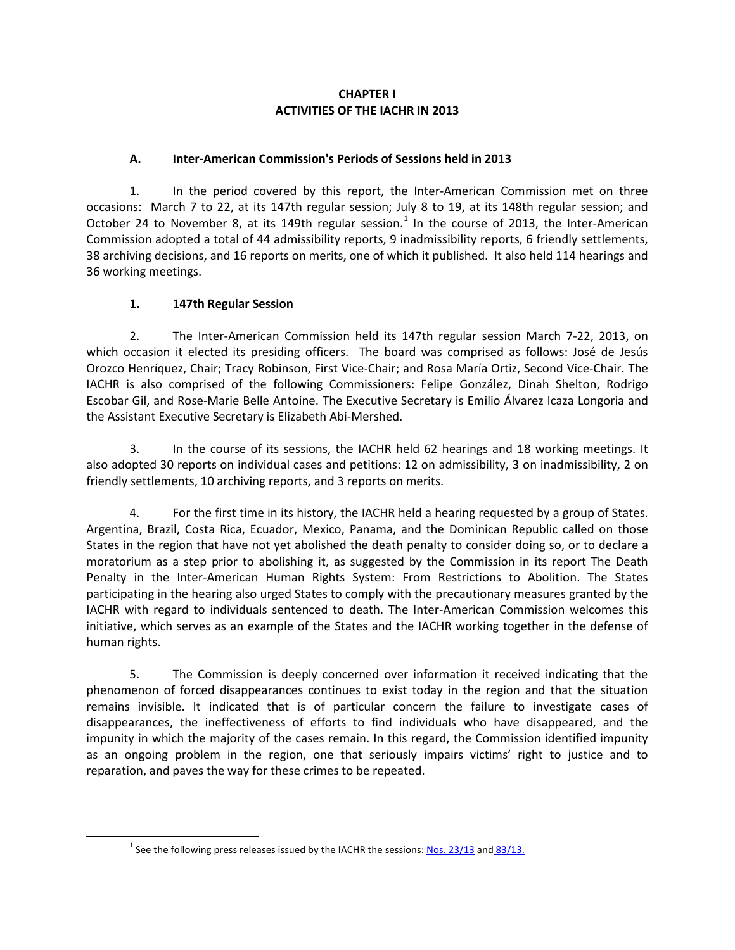### **CHAPTER I ACTIVITIES OF THE IACHR IN 2013**

# **A. Inter-American Commission's Periods of Sessions held in 2013**

1. In the period covered by this report, the Inter-American Commission met on three occasions: March 7 to 22, at its 147th regular session; July 8 to 19, at its 148th regular session; and October 24 to November 8, at its [1](#page-0-0)49th regular session.<sup>1</sup> In the course of 2013, the Inter-American Commission adopted a total of 44 admissibility reports, 9 inadmissibility reports, 6 friendly settlements, 38 archiving decisions, and 16 reports on merits, one of which it published. It also held 114 hearings and 36 working meetings.

# **1. 147th Regular Session**

2. The Inter-American Commission held its 147th regular session March 7-22, 2013, on which occasion it elected its presiding officers. The board was comprised as follows: José de Jesús Orozco Henríquez, Chair; Tracy Robinson, First Vice-Chair; and Rosa María Ortiz, Second Vice-Chair. The IACHR is also comprised of the following Commissioners: Felipe González, Dinah Shelton, Rodrigo Escobar Gil, and Rose-Marie Belle Antoine. The Executive Secretary is Emilio Álvarez Icaza Longoria and the Assistant Executive Secretary is Elizabeth Abi-Mershed.

3. In the course of its sessions, the IACHR held 62 hearings and 18 working meetings. It also adopted 30 reports on individual cases and petitions: 12 on admissibility, 3 on inadmissibility, 2 on friendly settlements, 10 archiving reports, and 3 reports on merits.

4. For the first time in its history, the IACHR held a hearing requested by a group of States. Argentina, Brazil, Costa Rica, Ecuador, Mexico, Panama, and the Dominican Republic called on those States in the region that have not yet abolished the death penalty to consider doing so, or to declare a moratorium as a step prior to abolishing it, as suggested by the Commission in its report The Death Penalty in the Inter-American Human Rights System: From Restrictions to Abolition. The States participating in the hearing also urged States to comply with the precautionary measures granted by the IACHR with regard to individuals sentenced to death. The Inter-American Commission welcomes this initiative, which serves as an example of the States and the IACHR working together in the defense of human rights.

5. The Commission is deeply concerned over information it received indicating that the phenomenon of forced disappearances continues to exist today in the region and that the situation remains invisible. It indicated that is of particular concern the failure to investigate cases of disappearances, the ineffectiveness of efforts to find individuals who have disappeared, and the impunity in which the majority of the cases remain. In this regard, the Commission identified impunity as an ongoing problem in the region, one that seriously impairs victims' right to justice and to reparation, and paves the way for these crimes to be repeated.

<span id="page-0-0"></span><sup>&</sup>lt;sup>1</sup> See the following press releases issued by the IACHR the sessions[: Nos. 23/13](http://www.oas.org/es/cidh/prensa/Comunicados/2012/036.asp) and  $83/13$ .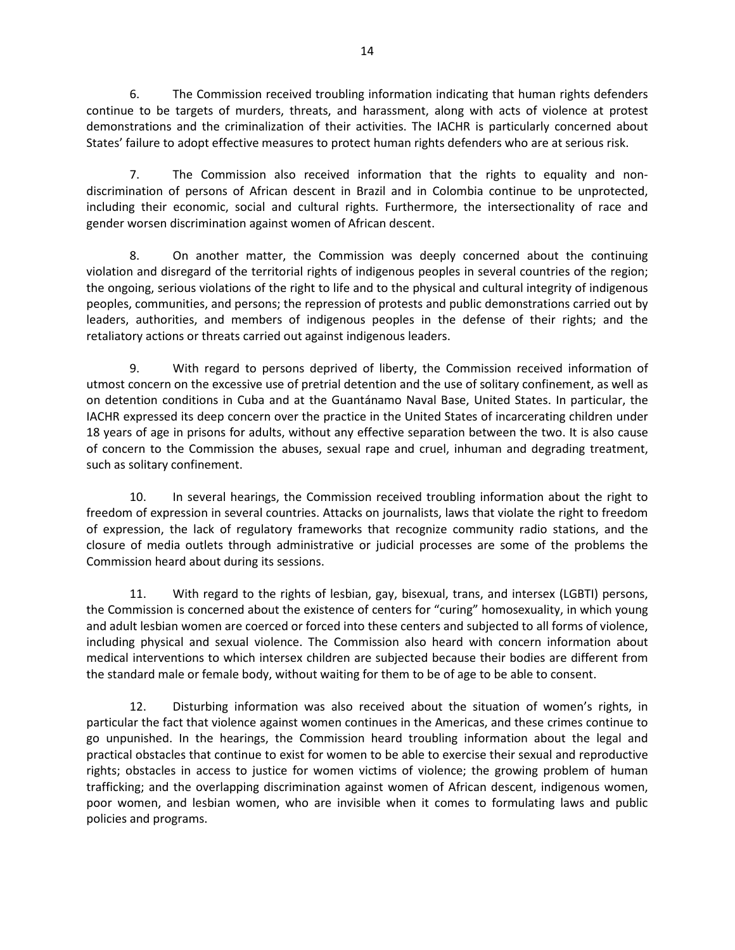6. The Commission received troubling information indicating that human rights defenders continue to be targets of murders, threats, and harassment, along with acts of violence at protest demonstrations and the criminalization of their activities. The IACHR is particularly concerned about States' failure to adopt effective measures to protect human rights defenders who are at serious risk.

7. The Commission also received information that the rights to equality and nondiscrimination of persons of African descent in Brazil and in Colombia continue to be unprotected, including their economic, social and cultural rights. Furthermore, the intersectionality of race and gender worsen discrimination against women of African descent.

8. On another matter, the Commission was deeply concerned about the continuing violation and disregard of the territorial rights of indigenous peoples in several countries of the region; the ongoing, serious violations of the right to life and to the physical and cultural integrity of indigenous peoples, communities, and persons; the repression of protests and public demonstrations carried out by leaders, authorities, and members of indigenous peoples in the defense of their rights; and the retaliatory actions or threats carried out against indigenous leaders.

9. With regard to persons deprived of liberty, the Commission received information of utmost concern on the excessive use of pretrial detention and the use of solitary confinement, as well as on detention conditions in Cuba and at the Guantánamo Naval Base, United States. In particular, the IACHR expressed its deep concern over the practice in the United States of incarcerating children under 18 years of age in prisons for adults, without any effective separation between the two. It is also cause of concern to the Commission the abuses, sexual rape and cruel, inhuman and degrading treatment, such as solitary confinement.

10. In several hearings, the Commission received troubling information about the right to freedom of expression in several countries. Attacks on journalists, laws that violate the right to freedom of expression, the lack of regulatory frameworks that recognize community radio stations, and the closure of media outlets through administrative or judicial processes are some of the problems the Commission heard about during its sessions.

11. With regard to the rights of lesbian, gay, bisexual, trans, and intersex (LGBTI) persons, the Commission is concerned about the existence of centers for "curing" homosexuality, in which young and adult lesbian women are coerced or forced into these centers and subjected to all forms of violence, including physical and sexual violence. The Commission also heard with concern information about medical interventions to which intersex children are subjected because their bodies are different from the standard male or female body, without waiting for them to be of age to be able to consent.

12. Disturbing information was also received about the situation of women's rights, in particular the fact that violence against women continues in the Americas, and these crimes continue to go unpunished. In the hearings, the Commission heard troubling information about the legal and practical obstacles that continue to exist for women to be able to exercise their sexual and reproductive rights; obstacles in access to justice for women victims of violence; the growing problem of human trafficking; and the overlapping discrimination against women of African descent, indigenous women, poor women, and lesbian women, who are invisible when it comes to formulating laws and public policies and programs.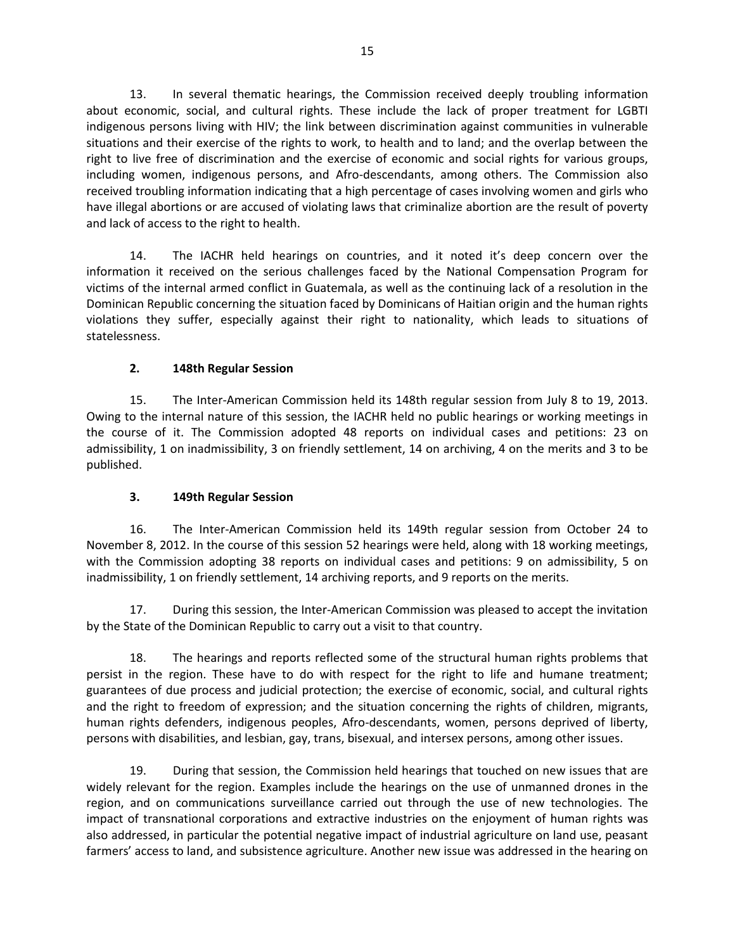13. In several thematic hearings, the Commission received deeply troubling information about economic, social, and cultural rights. These include the lack of proper treatment for LGBTI indigenous persons living with HIV; the link between discrimination against communities in vulnerable situations and their exercise of the rights to work, to health and to land; and the overlap between the right to live free of discrimination and the exercise of economic and social rights for various groups, including women, indigenous persons, and Afro-descendants, among others. The Commission also received troubling information indicating that a high percentage of cases involving women and girls who have illegal abortions or are accused of violating laws that criminalize abortion are the result of poverty and lack of access to the right to health.

14. The IACHR held hearings on countries, and it noted it's deep concern over the information it received on the serious challenges faced by the National Compensation Program for victims of the internal armed conflict in Guatemala, as well as the continuing lack of a resolution in the Dominican Republic concerning the situation faced by Dominicans of Haitian origin and the human rights violations they suffer, especially against their right to nationality, which leads to situations of statelessness.

#### **2. 148th Regular Session**

15. The Inter-American Commission held its 148th regular session from July 8 to 19, 2013. Owing to the internal nature of this session, the IACHR held no public hearings or working meetings in the course of it. The Commission adopted 48 reports on individual cases and petitions: 23 on admissibility, 1 on inadmissibility, 3 on friendly settlement, 14 on archiving, 4 on the merits and 3 to be published.

#### **3. 149th Regular Session**

16. The Inter-American Commission held its 149th regular session from October 24 to November 8, 2012. In the course of this session 52 hearings were held, along with 18 working meetings, with the Commission adopting 38 reports on individual cases and petitions: 9 on admissibility, 5 on inadmissibility, 1 on friendly settlement, 14 archiving reports, and 9 reports on the merits.

17. During this session, the Inter-American Commission was pleased to accept the invitation by the State of the Dominican Republic to carry out a visit to that country.

18. The hearings and reports reflected some of the structural human rights problems that persist in the region. These have to do with respect for the right to life and humane treatment; guarantees of due process and judicial protection; the exercise of economic, social, and cultural rights and the right to freedom of expression; and the situation concerning the rights of children, migrants, human rights defenders, indigenous peoples, Afro-descendants, women, persons deprived of liberty, persons with disabilities, and lesbian, gay, trans, bisexual, and intersex persons, among other issues.

19. During that session, the Commission held hearings that touched on new issues that are widely relevant for the region. Examples include the hearings on the use of unmanned drones in the region, and on communications surveillance carried out through the use of new technologies. The impact of transnational corporations and extractive industries on the enjoyment of human rights was also addressed, in particular the potential negative impact of industrial agriculture on land use, peasant farmers' access to land, and subsistence agriculture. Another new issue was addressed in the hearing on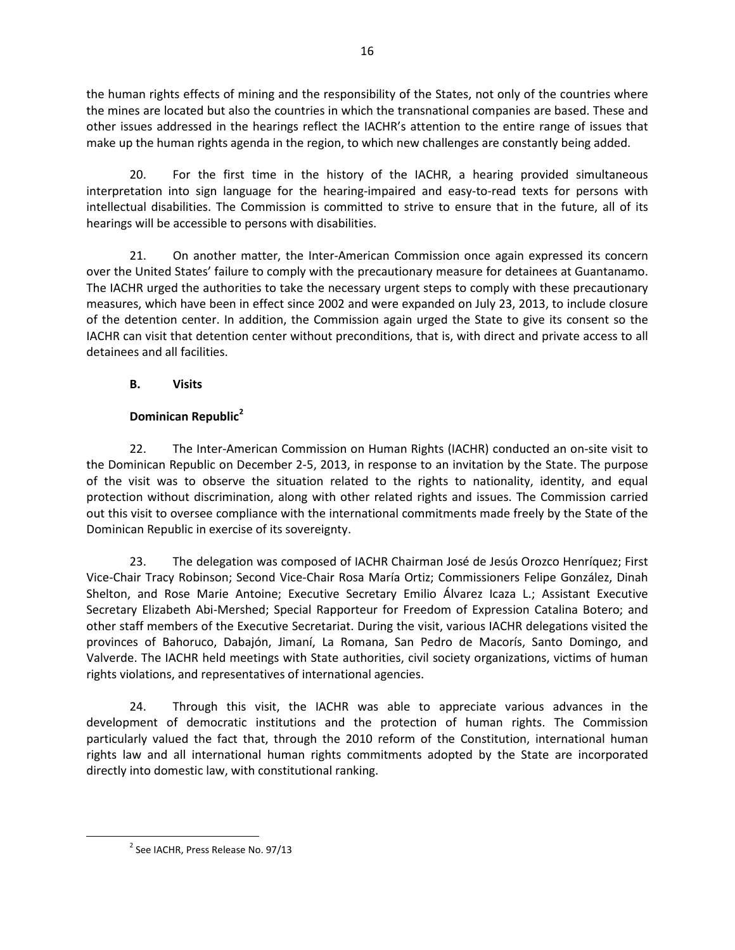the human rights effects of mining and the responsibility of the States, not only of the countries where the mines are located but also the countries in which the transnational companies are based. These and other issues addressed in the hearings reflect the IACHR's attention to the entire range of issues that make up the human rights agenda in the region, to which new challenges are constantly being added.

20. For the first time in the history of the IACHR, a hearing provided simultaneous interpretation into sign language for the hearing-impaired and easy-to-read texts for persons with intellectual disabilities. The Commission is committed to strive to ensure that in the future, all of its hearings will be accessible to persons with disabilities.

21. On another matter, the Inter-American Commission once again expressed its concern over the United States' failure to comply with the precautionary measure for detainees at Guantanamo. The IACHR urged the authorities to take the necessary urgent steps to comply with these precautionary measures, which have been in effect since 2002 and were expanded on July 23, 2013, to include closure of the detention center. In addition, the Commission again urged the State to give its consent so the IACHR can visit that detention center without preconditions, that is, with direct and private access to all detainees and all facilities.

# **B. Visits**

# **Dominican Republic[2](#page-3-0)**

22. The Inter-American Commission on Human Rights (IACHR) conducted an on-site visit to the Dominican Republic on December 2-5, 2013, in response to an invitation by the State. The purpose of the visit was to observe the situation related to the rights to nationality, identity, and equal protection without discrimination, along with other related rights and issues. The Commission carried out this visit to oversee compliance with the international commitments made freely by the State of the Dominican Republic in exercise of its sovereignty.

23. The delegation was composed of IACHR Chairman José de Jesús Orozco Henríquez; First Vice-Chair Tracy Robinson; Second Vice-Chair Rosa María Ortiz; Commissioners Felipe González, Dinah Shelton, and Rose Marie Antoine; Executive Secretary Emilio Álvarez Icaza L.; Assistant Executive Secretary Elizabeth Abi-Mershed; Special Rapporteur for Freedom of Expression Catalina Botero; and other staff members of the Executive Secretariat. During the visit, various IACHR delegations visited the provinces of Bahoruco, Dabajón, Jimaní, La Romana, San Pedro de Macorís, Santo Domingo, and Valverde. The IACHR held meetings with State authorities, civil society organizations, victims of human rights violations, and representatives of international agencies.

24. Through this visit, the IACHR was able to appreciate various advances in the development of democratic institutions and the protection of human rights. The Commission particularly valued the fact that, through the 2010 reform of the Constitution, international human rights law and all international human rights commitments adopted by the State are incorporated directly into domestic law, with constitutional ranking.

<span id="page-3-0"></span><sup>&</sup>lt;sup>2</sup> See IACHR, Press Release No. 97/13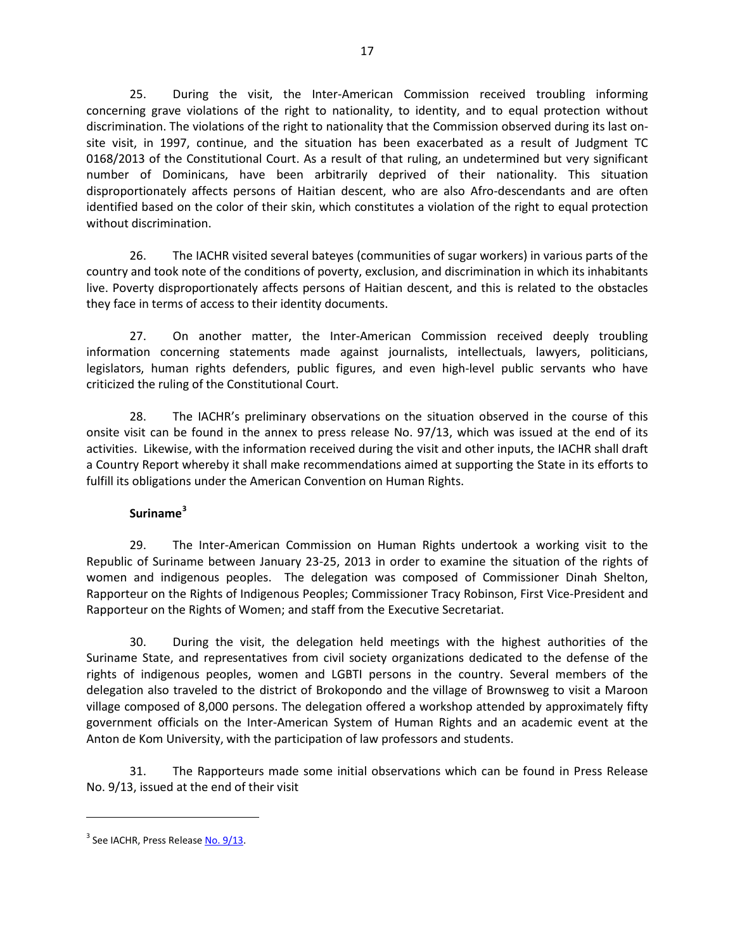25. During the visit, the Inter-American Commission received troubling informing concerning grave violations of the right to nationality, to identity, and to equal protection without discrimination. The violations of the right to nationality that the Commission observed during its last onsite visit, in 1997, continue, and the situation has been exacerbated as a result of Judgment TC 0168/2013 of the Constitutional Court. As a result of that ruling, an undetermined but very significant number of Dominicans, have been arbitrarily deprived of their nationality. This situation disproportionately affects persons of Haitian descent, who are also Afro-descendants and are often identified based on the color of their skin, which constitutes a violation of the right to equal protection without discrimination.

26. The IACHR visited several bateyes (communities of sugar workers) in various parts of the country and took note of the conditions of poverty, exclusion, and discrimination in which its inhabitants live. Poverty disproportionately affects persons of Haitian descent, and this is related to the obstacles they face in terms of access to their identity documents.

27. On another matter, the Inter-American Commission received deeply troubling information concerning statements made against journalists, intellectuals, lawyers, politicians, legislators, human rights defenders, public figures, and even high-level public servants who have criticized the ruling of the Constitutional Court.

28. The IACHR's preliminary observations on the situation observed in the course of this onsite visit can be found in the annex to press release No. 97/13, which was issued at the end of its activities. Likewise, with the information received during the visit and other inputs, the IACHR shall draft a Country Report whereby it shall make recommendations aimed at supporting the State in its efforts to fulfill its obligations under the American Convention on Human Rights.

# **Suriname[3](#page-4-0)**

29. The Inter-American Commission on Human Rights undertook a working visit to the Republic of Suriname between January 23-25, 2013 in order to examine the situation of the rights of women and indigenous peoples. The delegation was composed of Commissioner Dinah Shelton, Rapporteur on the Rights of Indigenous Peoples; Commissioner Tracy Robinson, First Vice-President and Rapporteur on the Rights of Women; and staff from the Executive Secretariat.

30. During the visit, the delegation held meetings with the highest authorities of the Suriname State, and representatives from civil society organizations dedicated to the defense of the rights of indigenous peoples, women and LGBTI persons in the country. Several members of the delegation also traveled to the district of Brokopondo and the village of Brownsweg to visit a Maroon village composed of 8,000 persons. The delegation offered a workshop attended by approximately fifty government officials on the Inter-American System of Human Rights and an academic event at the Anton de Kom University, with the participation of law professors and students.

31. The Rapporteurs made some initial observations which can be found in Press Release No. 9/13, issued at the end of their visit

 $\overline{a}$ 

<span id="page-4-0"></span><sup>&</sup>lt;sup>3</sup> See IACHR, Press Release [No. 9/13.](http://www.oas.org/es/cidh/prensa/comunicados/2012/033.asp)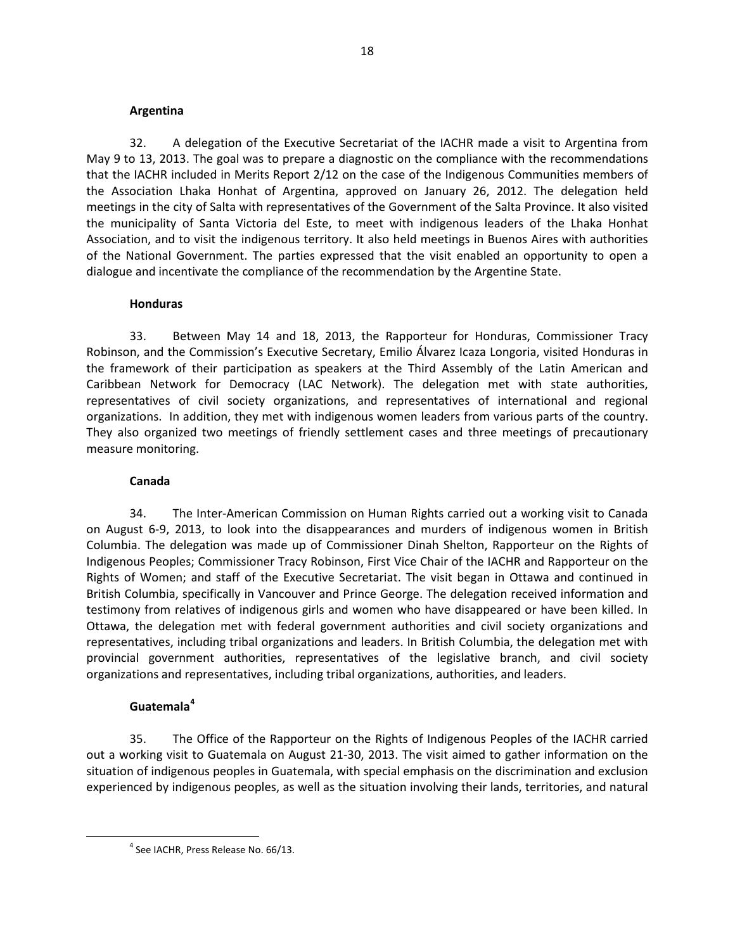#### **Argentina**

32. A delegation of the Executive Secretariat of the IACHR made a visit to Argentina from May 9 to 13, 2013. The goal was to prepare a diagnostic on the compliance with the recommendations that the IACHR included in Merits Report 2/12 on the case of the Indigenous Communities members of the Association Lhaka Honhat of Argentina, approved on January 26, 2012. The delegation held meetings in the city of Salta with representatives of the Government of the Salta Province. It also visited the municipality of Santa Victoria del Este, to meet with indigenous leaders of the Lhaka Honhat Association, and to visit the indigenous territory. It also held meetings in Buenos Aires with authorities of the National Government. The parties expressed that the visit enabled an opportunity to open a dialogue and incentivate the compliance of the recommendation by the Argentine State.

#### **Honduras**

33. Between May 14 and 18, 2013, the Rapporteur for Honduras, Commissioner Tracy Robinson, and the Commission's Executive Secretary, Emilio Álvarez Icaza Longoria, visited Honduras in the framework of their participation as speakers at the Third Assembly of the Latin American and Caribbean Network for Democracy (LAC Network). The delegation met with state authorities, representatives of civil society organizations, and representatives of international and regional organizations. In addition, they met with indigenous women leaders from various parts of the country. They also organized two meetings of friendly settlement cases and three meetings of precautionary measure monitoring.

#### **Canada**

34. The Inter-American Commission on Human Rights carried out a working visit to Canada on August 6-9, 2013, to look into the disappearances and murders of indigenous women in British Columbia. The delegation was made up of Commissioner Dinah Shelton, Rapporteur on the Rights of Indigenous Peoples; Commissioner Tracy Robinson, First Vice Chair of the IACHR and Rapporteur on the Rights of Women; and staff of the Executive Secretariat. The visit began in Ottawa and continued in British Columbia, specifically in Vancouver and Prince George. The delegation received information and testimony from relatives of indigenous girls and women who have disappeared or have been killed. In Ottawa, the delegation met with federal government authorities and civil society organizations and representatives, including tribal organizations and leaders. In British Columbia, the delegation met with provincial government authorities, representatives of the legislative branch, and civil society organizations and representatives, including tribal organizations, authorities, and leaders.

#### **Guatemala[4](#page-5-0)**

35. The Office of the Rapporteur on the Rights of Indigenous Peoples of the IACHR carried out a working visit to Guatemala on August 21-30, 2013. The visit aimed to gather information on the situation of indigenous peoples in Guatemala, with special emphasis on the discrimination and exclusion experienced by indigenous peoples, as well as the situation involving their lands, territories, and natural

<span id="page-5-0"></span><sup>4</sup> See IACHR, Press Release No. 66/13.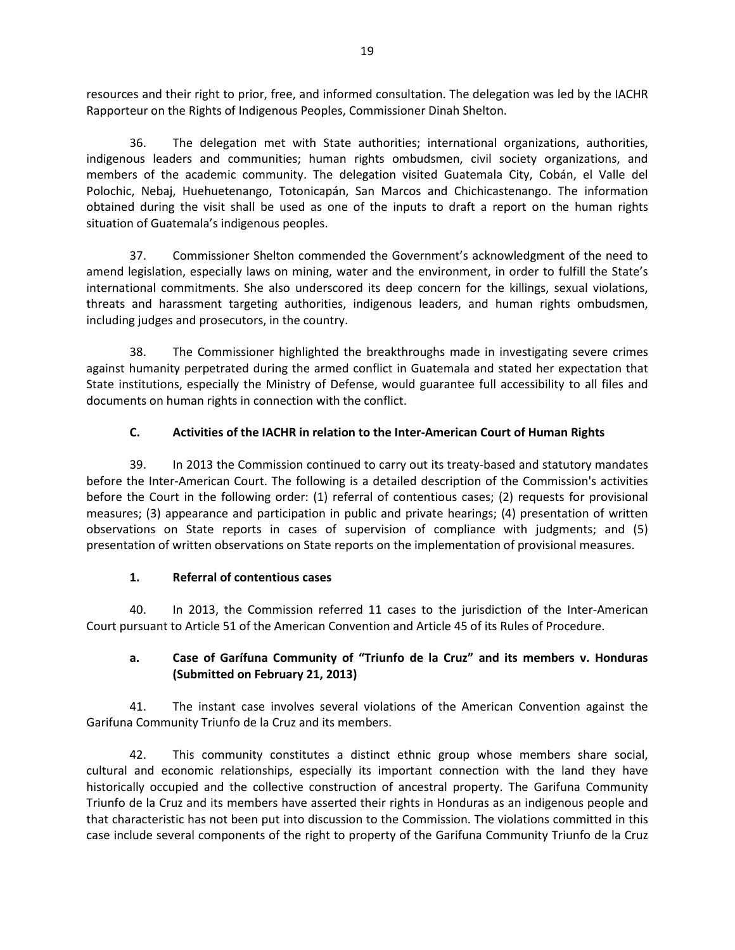resources and their right to prior, free, and informed consultation. The delegation was led by the IACHR Rapporteur on the Rights of Indigenous Peoples, Commissioner Dinah Shelton.

36. The delegation met with State authorities; international organizations, authorities, indigenous leaders and communities; human rights ombudsmen, civil society organizations, and members of the academic community. The delegation visited Guatemala City, Cobán, el Valle del Polochic, Nebaj, Huehuetenango, Totonicapán, San Marcos and Chichicastenango. The information obtained during the visit shall be used as one of the inputs to draft a report on the human rights situation of Guatemala's indigenous peoples.

37. Commissioner Shelton commended the Government's acknowledgment of the need to amend legislation, especially laws on mining, water and the environment, in order to fulfill the State's international commitments. She also underscored its deep concern for the killings, sexual violations, threats and harassment targeting authorities, indigenous leaders, and human rights ombudsmen, including judges and prosecutors, in the country.

38. The Commissioner highlighted the breakthroughs made in investigating severe crimes against humanity perpetrated during the armed conflict in Guatemala and stated her expectation that State institutions, especially the Ministry of Defense, would guarantee full accessibility to all files and documents on human rights in connection with the conflict.

# **C. Activities of the IACHR in relation to the Inter-American Court of Human Rights**

39. In 2013 the Commission continued to carry out its treaty-based and statutory mandates before the Inter-American Court. The following is a detailed description of the Commission's activities before the Court in the following order: (1) referral of contentious cases; (2) requests for provisional measures; (3) appearance and participation in public and private hearings; (4) presentation of written observations on State reports in cases of supervision of compliance with judgments; and (5) presentation of written observations on State reports on the implementation of provisional measures.

# **1. Referral of contentious cases**

40. In 2013, the Commission referred 11 cases to the jurisdiction of the Inter-American Court pursuant to Article 51 of the American Convention and Article 45 of its Rules of Procedure.

# **a. Case of Garífuna Community of "Triunfo de la Cruz" and its members v. Honduras (Submitted on February 21, 2013)**

41. The instant case involves several violations of the American Convention against the Garifuna Community Triunfo de la Cruz and its members.

42. This community constitutes a distinct ethnic group whose members share social, cultural and economic relationships, especially its important connection with the land they have historically occupied and the collective construction of ancestral property. The Garifuna Community Triunfo de la Cruz and its members have asserted their rights in Honduras as an indigenous people and that characteristic has not been put into discussion to the Commission. The violations committed in this case include several components of the right to property of the Garifuna Community Triunfo de la Cruz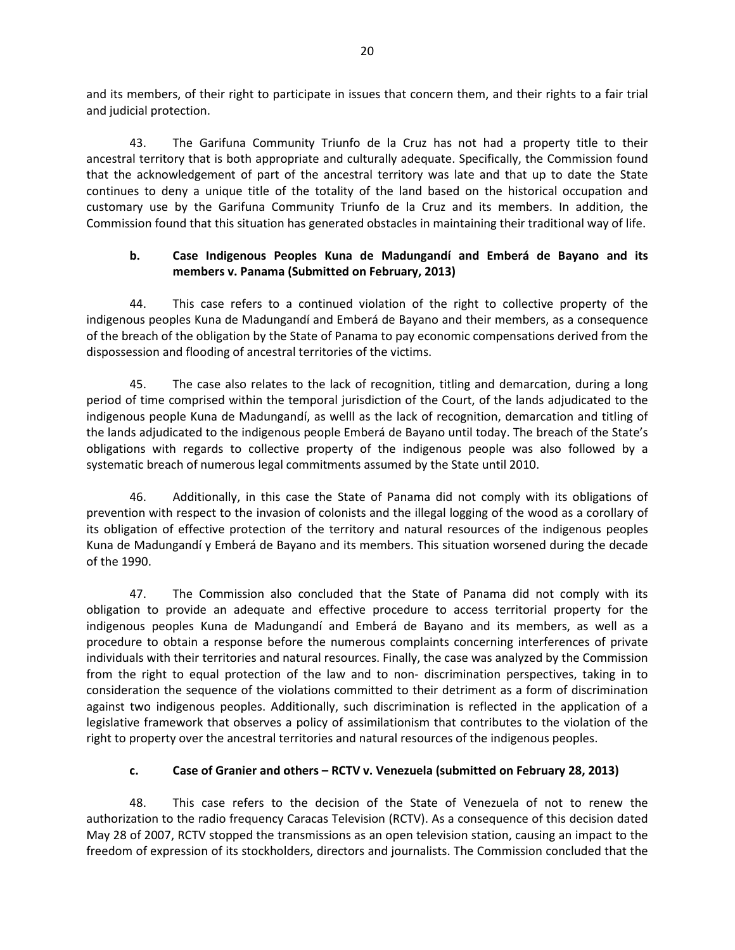and its members, of their right to participate in issues that concern them, and their rights to a fair trial and judicial protection.

43. The Garifuna Community Triunfo de la Cruz has not had a property title to their ancestral territory that is both appropriate and culturally adequate. Specifically, the Commission found that the acknowledgement of part of the ancestral territory was late and that up to date the State continues to deny a unique title of the totality of the land based on the historical occupation and customary use by the Garifuna Community Triunfo de la Cruz and its members. In addition, the Commission found that this situation has generated obstacles in maintaining their traditional way of life.

#### **b. Case Indigenous Peoples Kuna de Madungandí and Emberá de Bayano and its members v. Panama (Submitted on February, 2013)**

44. This case refers to a continued violation of the right to collective property of the indigenous peoples Kuna de Madungandí and Emberá de Bayano and their members, as a consequence of the breach of the obligation by the State of Panama to pay economic compensations derived from the dispossession and flooding of ancestral territories of the victims.

45. The case also relates to the lack of recognition, titling and demarcation, during a long period of time comprised within the temporal jurisdiction of the Court, of the lands adjudicated to the indigenous people Kuna de Madungandí, as welll as the lack of recognition, demarcation and titling of the lands adjudicated to the indigenous people Emberá de Bayano until today. The breach of the State's obligations with regards to collective property of the indigenous people was also followed by a systematic breach of numerous legal commitments assumed by the State until 2010.

46. Additionally, in this case the State of Panama did not comply with its obligations of prevention with respect to the invasion of colonists and the illegal logging of the wood as a corollary of its obligation of effective protection of the territory and natural resources of the indigenous peoples Kuna de Madungandí y Emberá de Bayano and its members. This situation worsened during the decade of the 1990.

47. The Commission also concluded that the State of Panama did not comply with its obligation to provide an adequate and effective procedure to access territorial property for the indigenous peoples Kuna de Madungandí and Emberá de Bayano and its members, as well as a procedure to obtain a response before the numerous complaints concerning interferences of private individuals with their territories and natural resources. Finally, the case was analyzed by the Commission from the right to equal protection of the law and to non- discrimination perspectives, taking in to consideration the sequence of the violations committed to their detriment as a form of discrimination against two indigenous peoples. Additionally, such discrimination is reflected in the application of a legislative framework that observes a policy of assimilationism that contributes to the violation of the right to property over the ancestral territories and natural resources of the indigenous peoples.

# **c. Case of Granier and others – RCTV v. Venezuela (submitted on February 28, 2013)**

48. This case refers to the decision of the State of Venezuela of not to renew the authorization to the radio frequency Caracas Television (RCTV). As a consequence of this decision dated May 28 of 2007, RCTV stopped the transmissions as an open television station, causing an impact to the freedom of expression of its stockholders, directors and journalists. The Commission concluded that the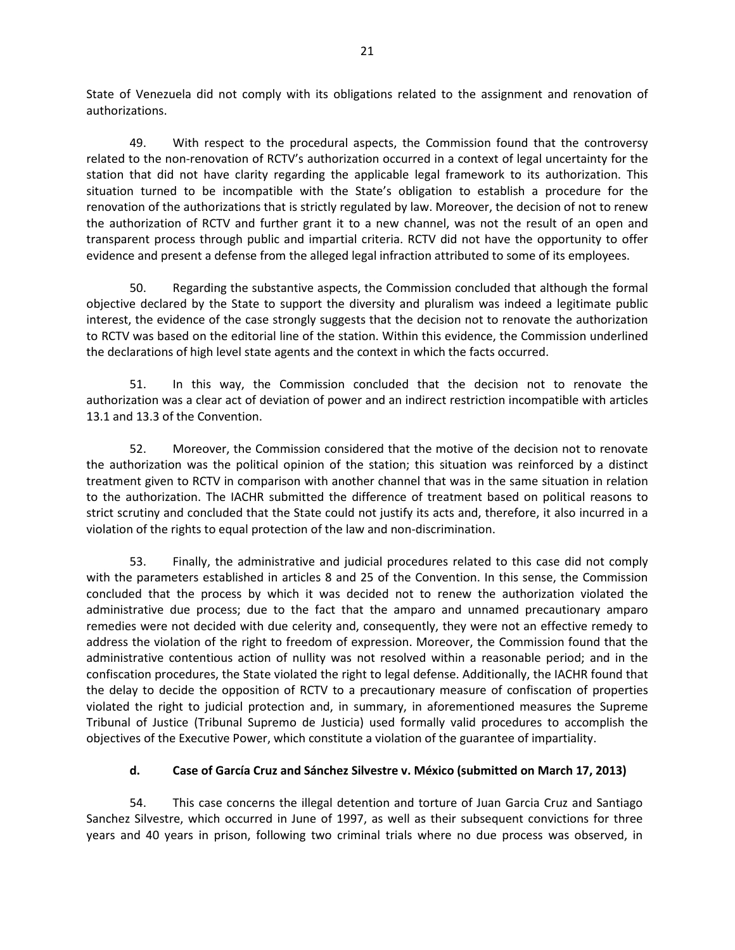State of Venezuela did not comply with its obligations related to the assignment and renovation of authorizations.

49. With respect to the procedural aspects, the Commission found that the controversy related to the non-renovation of RCTV's authorization occurred in a context of legal uncertainty for the station that did not have clarity regarding the applicable legal framework to its authorization. This situation turned to be incompatible with the State's obligation to establish a procedure for the renovation of the authorizations that is strictly regulated by law. Moreover, the decision of not to renew the authorization of RCTV and further grant it to a new channel, was not the result of an open and transparent process through public and impartial criteria. RCTV did not have the opportunity to offer evidence and present a defense from the alleged legal infraction attributed to some of its employees.

50. Regarding the substantive aspects, the Commission concluded that although the formal objective declared by the State to support the diversity and pluralism was indeed a legitimate public interest, the evidence of the case strongly suggests that the decision not to renovate the authorization to RCTV was based on the editorial line of the station. Within this evidence, the Commission underlined the declarations of high level state agents and the context in which the facts occurred.

51. In this way, the Commission concluded that the decision not to renovate the authorization was a clear act of deviation of power and an indirect restriction incompatible with articles 13.1 and 13.3 of the Convention.

52. Moreover, the Commission considered that the motive of the decision not to renovate the authorization was the political opinion of the station; this situation was reinforced by a distinct treatment given to RCTV in comparison with another channel that was in the same situation in relation to the authorization. The IACHR submitted the difference of treatment based on political reasons to strict scrutiny and concluded that the State could not justify its acts and, therefore, it also incurred in a violation of the rights to equal protection of the law and non-discrimination.

53. Finally, the administrative and judicial procedures related to this case did not comply with the parameters established in articles 8 and 25 of the Convention. In this sense, the Commission concluded that the process by which it was decided not to renew the authorization violated the administrative due process; due to the fact that the amparo and unnamed precautionary amparo remedies were not decided with due celerity and, consequently, they were not an effective remedy to address the violation of the right to freedom of expression. Moreover, the Commission found that the administrative contentious action of nullity was not resolved within a reasonable period; and in the confiscation procedures, the State violated the right to legal defense. Additionally, the IACHR found that the delay to decide the opposition of RCTV to a precautionary measure of confiscation of properties violated the right to judicial protection and, in summary, in aforementioned measures the Supreme Tribunal of Justice (Tribunal Supremo de Justicia) used formally valid procedures to accomplish the objectives of the Executive Power, which constitute a violation of the guarantee of impartiality.

# **d. Case of García Cruz and Sánchez Silvestre v. México (submitted on March 17, 2013)**

54. This case concerns the illegal detention and torture of Juan Garcia Cruz and Santiago Sanchez Silvestre, which occurred in June of 1997, as well as their subsequent convictions for three years and 40 years in prison, following two criminal trials where no due process was observed, in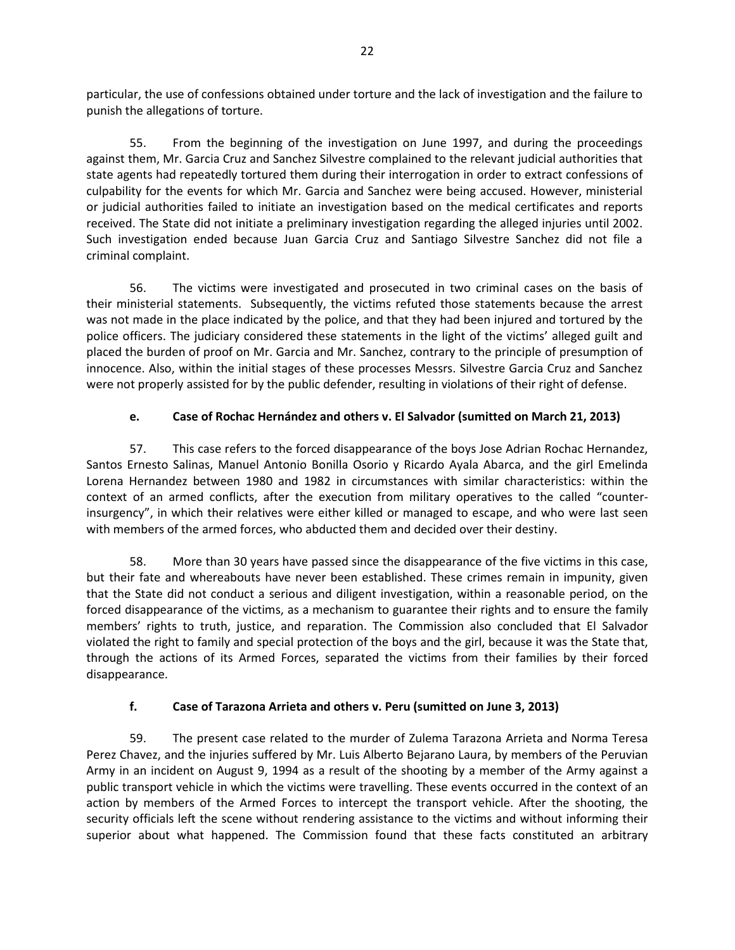particular, the use of confessions obtained under torture and the lack of investigation and the failure to punish the allegations of torture.

55. From the beginning of the investigation on June 1997, and during the proceedings against them, Mr. Garcia Cruz and Sanchez Silvestre complained to the relevant judicial authorities that state agents had repeatedly tortured them during their interrogation in order to extract confessions of culpability for the events for which Mr. Garcia and Sanchez were being accused. However, ministerial or judicial authorities failed to initiate an investigation based on the medical certificates and reports received. The State did not initiate a preliminary investigation regarding the alleged injuries until 2002. Such investigation ended because Juan Garcia Cruz and Santiago Silvestre Sanchez did not file a criminal complaint.

56. The victims were investigated and prosecuted in two criminal cases on the basis of their ministerial statements. Subsequently, the victims refuted those statements because the arrest was not made in the place indicated by the police, and that they had been injured and tortured by the police officers. The judiciary considered these statements in the light of the victims' alleged guilt and placed the burden of proof on Mr. Garcia and Mr. Sanchez, contrary to the principle of presumption of innocence. Also, within the initial stages of these processes Messrs. Silvestre Garcia Cruz and Sanchez were not properly assisted for by the public defender, resulting in violations of their right of defense.

# **e. Case of Rochac Hernández and others v. El Salvador (sumitted on March 21, 2013)**

57. This case refers to the forced disappearance of the boys Jose Adrian Rochac Hernandez, Santos Ernesto Salinas, Manuel Antonio Bonilla Osorio y Ricardo Ayala Abarca, and the girl Emelinda Lorena Hernandez between 1980 and 1982 in circumstances with similar characteristics: within the context of an armed conflicts, after the execution from military operatives to the called "counterinsurgency", in which their relatives were either killed or managed to escape, and who were last seen with members of the armed forces, who abducted them and decided over their destiny.

58. More than 30 years have passed since the disappearance of the five victims in this case, but their fate and whereabouts have never been established. These crimes remain in impunity, given that the State did not conduct a serious and diligent investigation, within a reasonable period, on the forced disappearance of the victims, as a mechanism to guarantee their rights and to ensure the family members' rights to truth, justice, and reparation. The Commission also concluded that El Salvador violated the right to family and special protection of the boys and the girl, because it was the State that, through the actions of its Armed Forces, separated the victims from their families by their forced disappearance.

# **f. Case of Tarazona Arrieta and others v. Peru (sumitted on June 3, 2013)**

59. The present case related to the murder of Zulema Tarazona Arrieta and Norma Teresa Perez Chavez, and the injuries suffered by Mr. Luis Alberto Bejarano Laura, by members of the Peruvian Army in an incident on August 9, 1994 as a result of the shooting by a member of the Army against a public transport vehicle in which the victims were travelling. These events occurred in the context of an action by members of the Armed Forces to intercept the transport vehicle. After the shooting, the security officials left the scene without rendering assistance to the victims and without informing their superior about what happened. The Commission found that these facts constituted an arbitrary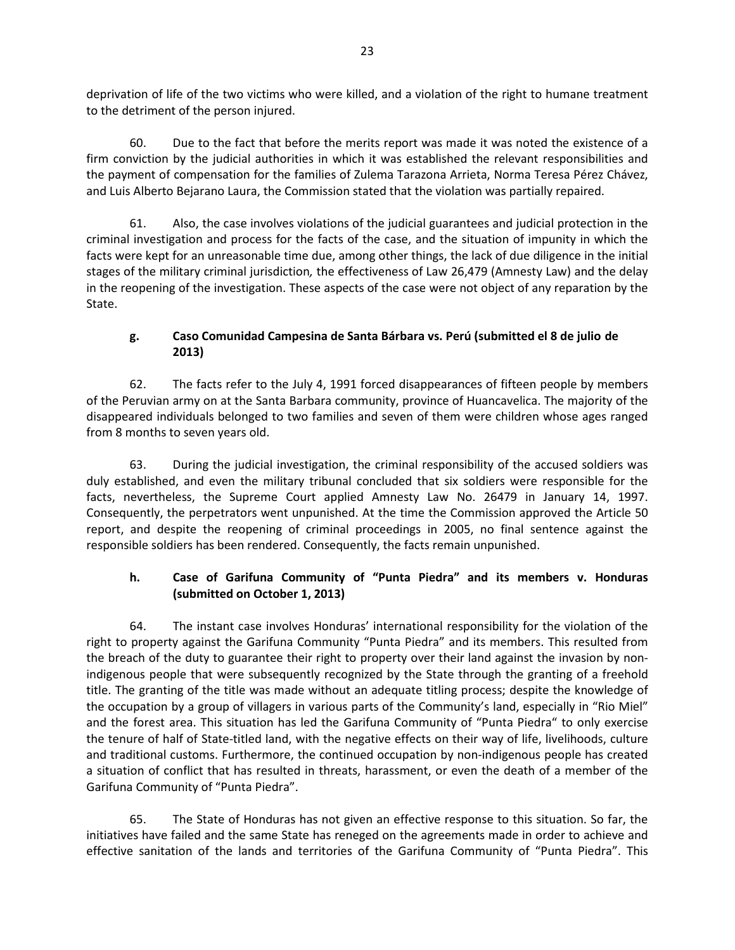deprivation of life of the two victims who were killed, and a violation of the right to humane treatment to the detriment of the person injured.

60. Due to the fact that before the merits report was made it was noted the existence of a firm conviction by the judicial authorities in which it was established the relevant responsibilities and the payment of compensation for the families of Zulema Tarazona Arrieta, Norma Teresa Pérez Chávez, and Luis Alberto Bejarano Laura, the Commission stated that the violation was partially repaired.

61. Also, the case involves violations of the judicial guarantees and judicial protection in the criminal investigation and process for the facts of the case, and the situation of impunity in which the facts were kept for an unreasonable time due, among other things, the lack of due diligence in the initial stages of the military criminal jurisdiction*,* the effectiveness of Law 26,479 (Amnesty Law) and the delay in the reopening of the investigation. These aspects of the case were not object of any reparation by the State.

### **g. Caso Comunidad Campesina de Santa Bárbara vs. Perú (submitted el 8 de julio de 2013)**

62. The facts refer to the July 4, 1991 forced disappearances of fifteen people by members of the Peruvian army on at the Santa Barbara community, province of Huancavelica. The majority of the disappeared individuals belonged to two families and seven of them were children whose ages ranged from 8 months to seven years old.

63. During the judicial investigation, the criminal responsibility of the accused soldiers was duly established, and even the military tribunal concluded that six soldiers were responsible for the facts, nevertheless, the Supreme Court applied Amnesty Law No. 26479 in January 14, 1997. Consequently, the perpetrators went unpunished. At the time the Commission approved the Article 50 report, and despite the reopening of criminal proceedings in 2005, no final sentence against the responsible soldiers has been rendered. Consequently, the facts remain unpunished.

# **h. Case of Garifuna Community of "Punta Piedra" and its members v. Honduras (submitted on October 1, 2013)**

64. The instant case involves Honduras' international responsibility for the violation of the right to property against the Garifuna Community "Punta Piedra" and its members. This resulted from the breach of the duty to guarantee their right to property over their land against the invasion by nonindigenous people that were subsequently recognized by the State through the granting of a freehold title. The granting of the title was made without an adequate titling process; despite the knowledge of the occupation by a group of villagers in various parts of the Community's land, especially in "Rio Miel" and the forest area. This situation has led the Garifuna Community of "Punta Piedra" to only exercise the tenure of half of State-titled land, with the negative effects on their way of life, livelihoods, culture and traditional customs. Furthermore, the continued occupation by non-indigenous people has created a situation of conflict that has resulted in threats, harassment, or even the death of a member of the Garifuna Community of "Punta Piedra".

65. The State of Honduras has not given an effective response to this situation. So far, the initiatives have failed and the same State has reneged on the agreements made in order to achieve and effective sanitation of the lands and territories of the Garifuna Community of "Punta Piedra". This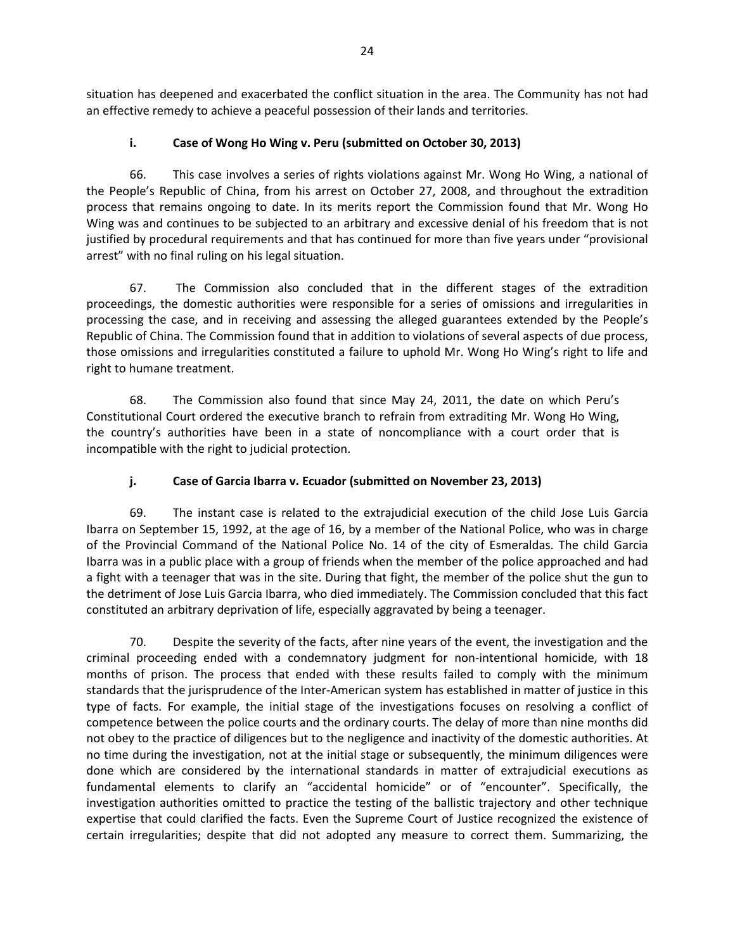situation has deepened and exacerbated the conflict situation in the area. The Community has not had an effective remedy to achieve a peaceful possession of their lands and territories.

### **i. Case of Wong Ho Wing v. Peru (submitted on October 30, 2013)**

66. This case involves a series of rights violations against Mr. Wong Ho Wing, a national of the People's Republic of China, from his arrest on October 27, 2008, and throughout the extradition process that remains ongoing to date. In its merits report the Commission found that Mr. Wong Ho Wing was and continues to be subjected to an arbitrary and excessive denial of his freedom that is not justified by procedural requirements and that has continued for more than five years under "provisional arrest" with no final ruling on his legal situation.

67. The Commission also concluded that in the different stages of the extradition proceedings, the domestic authorities were responsible for a series of omissions and irregularities in processing the case, and in receiving and assessing the alleged guarantees extended by the People's Republic of China. The Commission found that in addition to violations of several aspects of due process, those omissions and irregularities constituted a failure to uphold Mr. Wong Ho Wing's right to life and right to humane treatment.

68. The Commission also found that since May 24, 2011, the date on which Peru's Constitutional Court ordered the executive branch to refrain from extraditing Mr. Wong Ho Wing, the country's authorities have been in a state of noncompliance with a court order that is incompatible with the right to judicial protection.

# **j. Case of Garcia Ibarra v. Ecuador (submitted on November 23, 2013)**

69. The instant case is related to the extrajudicial execution of the child Jose Luis Garcia Ibarra on September 15, 1992, at the age of 16, by a member of the National Police, who was in charge of the Provincial Command of the National Police No. 14 of the city of Esmeraldas. The child Garcia Ibarra was in a public place with a group of friends when the member of the police approached and had a fight with a teenager that was in the site. During that fight, the member of the police shut the gun to the detriment of Jose Luis Garcia Ibarra, who died immediately. The Commission concluded that this fact constituted an arbitrary deprivation of life, especially aggravated by being a teenager.

70. Despite the severity of the facts, after nine years of the event, the investigation and the criminal proceeding ended with a condemnatory judgment for non-intentional homicide, with 18 months of prison. The process that ended with these results failed to comply with the minimum standards that the jurisprudence of the Inter-American system has established in matter of justice in this type of facts. For example, the initial stage of the investigations focuses on resolving a conflict of competence between the police courts and the ordinary courts. The delay of more than nine months did not obey to the practice of diligences but to the negligence and inactivity of the domestic authorities. At no time during the investigation, not at the initial stage or subsequently, the minimum diligences were done which are considered by the international standards in matter of extrajudicial executions as fundamental elements to clarify an "accidental homicide" or of "encounter". Specifically, the investigation authorities omitted to practice the testing of the ballistic trajectory and other technique expertise that could clarified the facts. Even the Supreme Court of Justice recognized the existence of certain irregularities; despite that did not adopted any measure to correct them. Summarizing, the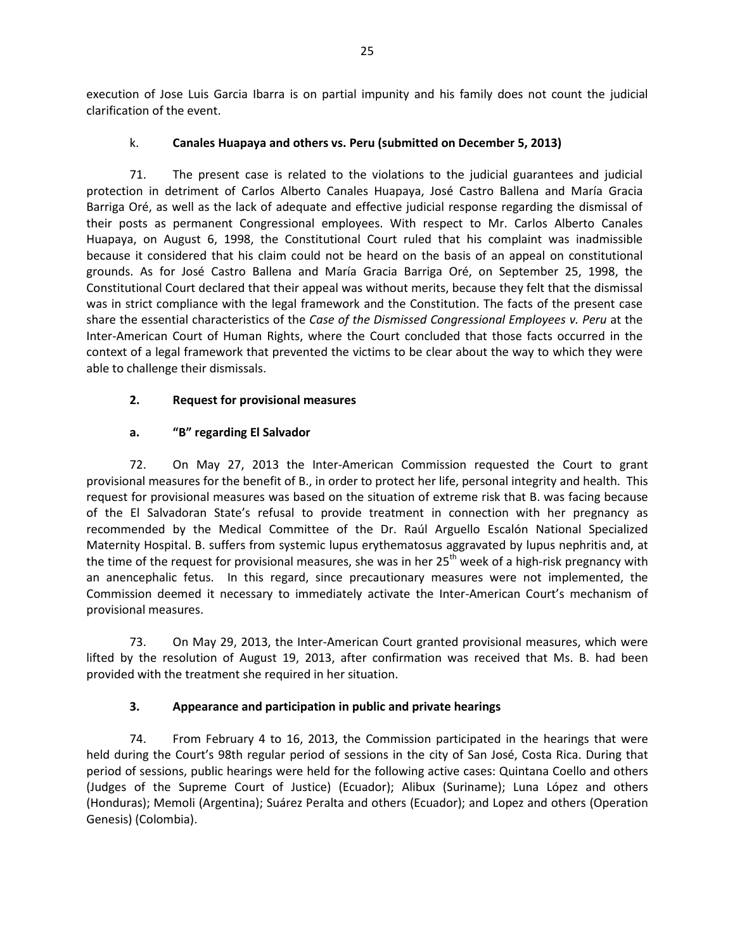execution of Jose Luis Garcia Ibarra is on partial impunity and his family does not count the judicial clarification of the event.

### k. **Canales Huapaya and others vs. Peru (submitted on December 5, 2013)**

71. The present case is related to the violations to the judicial guarantees and judicial protection in detriment of Carlos Alberto Canales Huapaya, José Castro Ballena and María Gracia Barriga Oré, as well as the lack of adequate and effective judicial response regarding the dismissal of their posts as permanent Congressional employees. With respect to Mr. Carlos Alberto Canales Huapaya, on August 6, 1998, the Constitutional Court ruled that his complaint was inadmissible because it considered that his claim could not be heard on the basis of an appeal on constitutional grounds. As for José Castro Ballena and María Gracia Barriga Oré, on September 25, 1998, the Constitutional Court declared that their appeal was without merits, because they felt that the dismissal was in strict compliance with the legal framework and the Constitution. The facts of the present case share the essential characteristics of the *Case of the Dismissed Congressional Employees v. Peru* at the Inter-American Court of Human Rights, where the Court concluded that those facts occurred in the context of a legal framework that prevented the victims to be clear about the way to which they were able to challenge their dismissals.

#### **2. Request for provisional measures**

# **a. "B" regarding El Salvador**

72. On May 27, 2013 the Inter-American Commission requested the Court to grant provisional measures for the benefit of B., in order to protect her life, personal integrity and health. This request for provisional measures was based on the situation of extreme risk that B. was facing because of the El Salvadoran State's refusal to provide treatment in connection with her pregnancy as recommended by the Medical Committee of the Dr. Raúl Arguello Escalón National Specialized Maternity Hospital. B. suffers from systemic lupus erythematosus aggravated by lupus nephritis and, at the time of the request for provisional measures, she was in her 25<sup>th</sup> week of a high-risk pregnancy with an anencephalic fetus. In this regard, since precautionary measures were not implemented, the Commission deemed it necessary to immediately activate the Inter-American Court's mechanism of provisional measures.

73. On May 29, 2013, the Inter-American Court granted provisional measures, which were lifted by the resolution of August 19, 2013, after confirmation was received that Ms. B. had been provided with the treatment she required in her situation.

# **3. Appearance and participation in public and private hearings**

74. From February 4 to 16, 2013, the Commission participated in the hearings that were held during the Court's 98th regular period of sessions in the city of San José, Costa Rica. During that period of sessions, public hearings were held for the following active cases: Quintana Coello and others (Judges of the Supreme Court of Justice) (Ecuador); Alibux (Suriname); Luna López and others (Honduras); Memoli (Argentina); Suárez Peralta and others (Ecuador); and Lopez and others (Operation Genesis) (Colombia).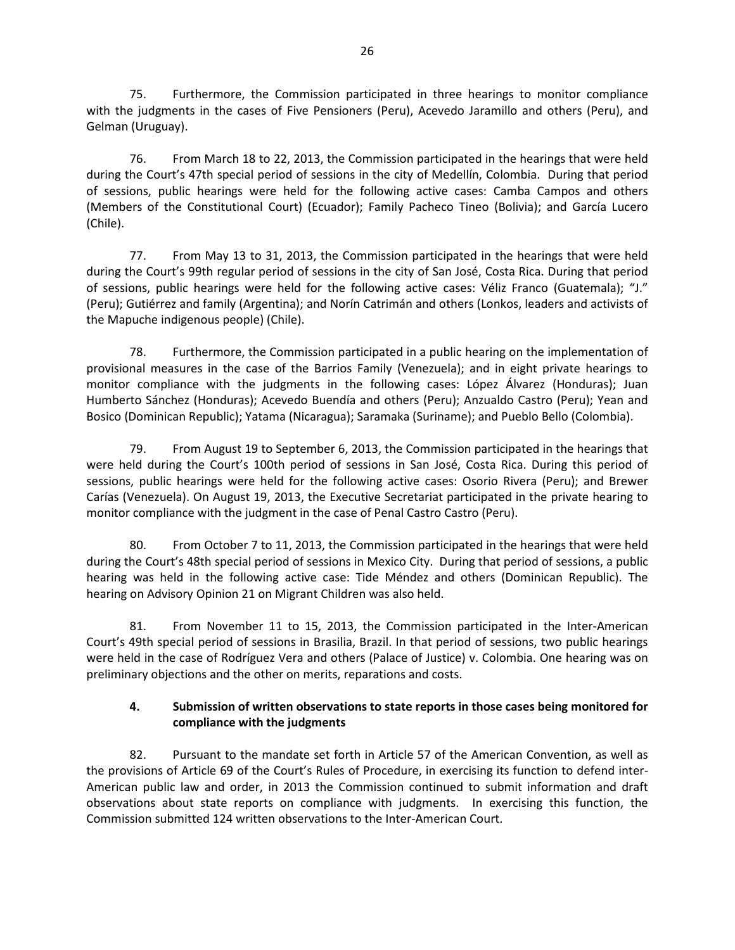75. Furthermore, the Commission participated in three hearings to monitor compliance with the judgments in the cases of Five Pensioners (Peru), Acevedo Jaramillo and others (Peru), and Gelman (Uruguay).

76. From March 18 to 22, 2013, the Commission participated in the hearings that were held during the Court's 47th special period of sessions in the city of Medellín, Colombia. During that period of sessions, public hearings were held for the following active cases: Camba Campos and others (Members of the Constitutional Court) (Ecuador); Family Pacheco Tineo (Bolivia); and García Lucero (Chile).

77. From May 13 to 31, 2013, the Commission participated in the hearings that were held during the Court's 99th regular period of sessions in the city of San José, Costa Rica. During that period of sessions, public hearings were held for the following active cases: Véliz Franco (Guatemala); "J." (Peru); Gutiérrez and family (Argentina); and Norín Catrimán and others (Lonkos, leaders and activists of the Mapuche indigenous people) (Chile).

78. Furthermore, the Commission participated in a public hearing on the implementation of provisional measures in the case of the Barrios Family (Venezuela); and in eight private hearings to monitor compliance with the judgments in the following cases: López Álvarez (Honduras); Juan Humberto Sánchez (Honduras); Acevedo Buendía and others (Peru); Anzualdo Castro (Peru); Yean and Bosico (Dominican Republic); Yatama (Nicaragua); Saramaka (Suriname); and Pueblo Bello (Colombia).

79. From August 19 to September 6, 2013, the Commission participated in the hearings that were held during the Court's 100th period of sessions in San José, Costa Rica. During this period of sessions, public hearings were held for the following active cases: Osorio Rivera (Peru); and Brewer Carías (Venezuela). On August 19, 2013, the Executive Secretariat participated in the private hearing to monitor compliance with the judgment in the case of Penal Castro Castro (Peru).

80. From October 7 to 11, 2013, the Commission participated in the hearings that were held during the Court's 48th special period of sessions in Mexico City. During that period of sessions, a public hearing was held in the following active case: Tide Méndez and others (Dominican Republic). The hearing on Advisory Opinion 21 on Migrant Children was also held.

81. From November 11 to 15, 2013, the Commission participated in the Inter-American Court's 49th special period of sessions in Brasilia, Brazil. In that period of sessions, two public hearings were held in the case of Rodríguez Vera and others (Palace of Justice) v. Colombia. One hearing was on preliminary objections and the other on merits, reparations and costs.

# **4. Submission of written observations to state reports in those cases being monitored for compliance with the judgments**

82. Pursuant to the mandate set forth in Article 57 of the American Convention, as well as the provisions of Article 69 of the Court's Rules of Procedure, in exercising its function to defend inter-American public law and order, in 2013 the Commission continued to submit information and draft observations about state reports on compliance with judgments. In exercising this function, the Commission submitted 124 written observations to the Inter-American Court.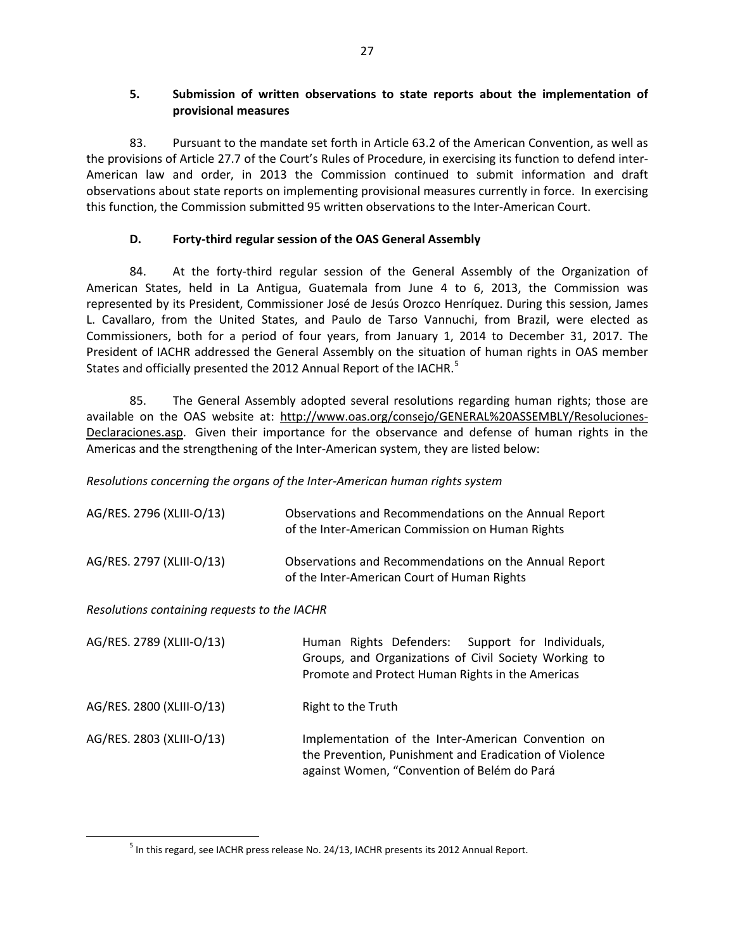### **5. Submission of written observations to state reports about the implementation of provisional measures**

83. Pursuant to the mandate set forth in Article 63.2 of the American Convention, as well as the provisions of Article 27.7 of the Court's Rules of Procedure, in exercising its function to defend inter-American law and order, in 2013 the Commission continued to submit information and draft observations about state reports on implementing provisional measures currently in force. In exercising this function, the Commission submitted 95 written observations to the Inter-American Court.

#### **D. Forty-third regular session of the OAS General Assembly**

84. At the forty-third regular session of the General Assembly of the Organization of American States, held in La Antigua, Guatemala from June 4 to 6, 2013, the Commission was represented by its President, Commissioner José de Jesús Orozco Henríquez. During this session, James L. Cavallaro, from the United States, and Paulo de Tarso Vannuchi, from Brazil, were elected as Commissioners, both for a period of four years, from January 1, 2014 to December 31, 2017. The President of IACHR addressed the General Assembly on the situation of human rights in OAS member States and officially presented the 2012 Annual Report of the IACHR.<sup>[5](#page-14-0)</sup>

85. The General Assembly adopted several resolutions regarding human rights; those are available on the OAS website at: [http://www.oas.org/consejo/GENERAL%20ASSEMBLY/Resoluciones-](http://www.oas.org/consejo/GENERAL%20ASSEMBLY/Resoluciones-Declaraciones.asp)[Declaraciones.asp.](http://www.oas.org/consejo/GENERAL%20ASSEMBLY/Resoluciones-Declaraciones.asp) Given their importance for the observance and defense of human rights in the Americas and the strengthening of the Inter-American system, they are listed below:

### *Resolutions concerning the organs of the Inter-American human rights system*

| AG/RES. 2796 (XLIII-O/13)                    | Observations and Recommendations on the Annual Report<br>of the Inter-American Commission on Human Rights                                                     |  |
|----------------------------------------------|---------------------------------------------------------------------------------------------------------------------------------------------------------------|--|
| AG/RES. 2797 (XLIII-O/13)                    | Observations and Recommendations on the Annual Report<br>of the Inter-American Court of Human Rights                                                          |  |
| Resolutions containing requests to the IACHR |                                                                                                                                                               |  |
| AG/RES. 2789 (XLIII-O/13)                    | Human Rights Defenders: Support for Individuals,<br>Groups, and Organizations of Civil Society Working to<br>Promote and Protect Human Rights in the Americas |  |
| AG/RES. 2800 (XLIII-O/13)                    | Right to the Truth                                                                                                                                            |  |
| AG/RES. 2803 (XLIII-O/13)                    | Implementation of the Inter-American Convention on<br>the Prevention, Punishment and Eradication of Violence<br>against Women, "Convention of Belém do Pará   |  |

<span id="page-14-0"></span><sup>&</sup>lt;sup>5</sup> In this regard, see IACHR press release No. 24/13, IACHR presents its 2012 Annual Report.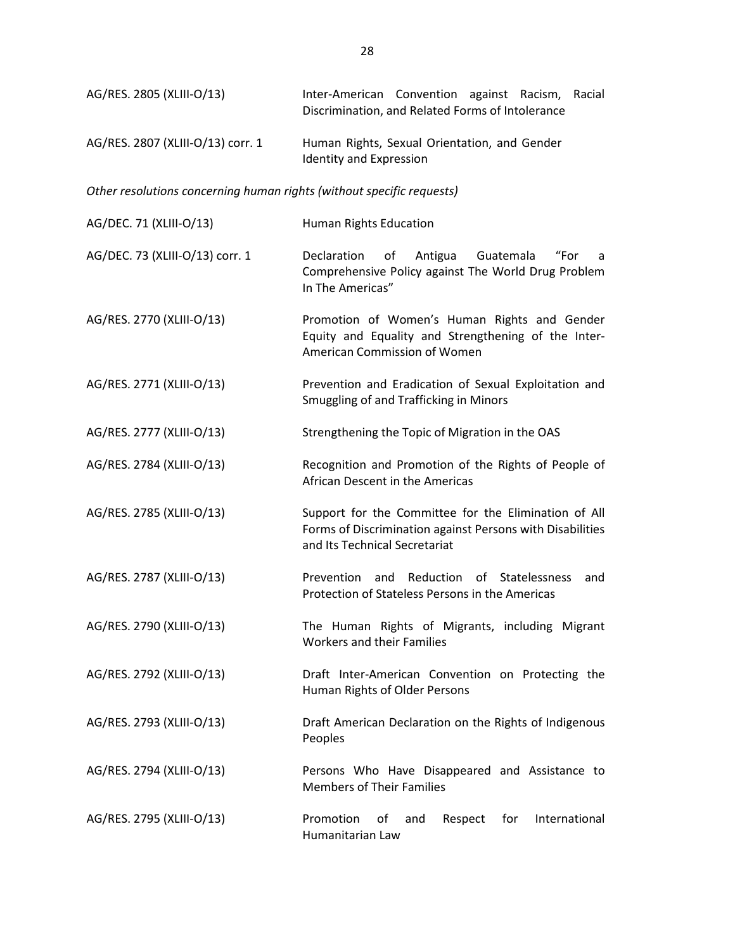| AG/RES. 2805 (XLIII-O/13)                                             | Inter-American Convention against Racism, Racial<br>Discrimination, and Related Forms of Intolerance                                               |
|-----------------------------------------------------------------------|----------------------------------------------------------------------------------------------------------------------------------------------------|
| AG/RES. 2807 (XLIII-O/13) corr. 1                                     | Human Rights, Sexual Orientation, and Gender<br><b>Identity and Expression</b>                                                                     |
| Other resolutions concerning human rights (without specific requests) |                                                                                                                                                    |
| AG/DEC. 71 (XLIII-O/13)                                               | Human Rights Education                                                                                                                             |
| AG/DEC. 73 (XLIII-O/13) corr. 1                                       | Declaration<br>of<br>Antigua<br>"For<br>Guatemala<br>a<br>Comprehensive Policy against The World Drug Problem<br>In The Americas"                  |
| AG/RES. 2770 (XLIII-O/13)                                             | Promotion of Women's Human Rights and Gender<br>Equity and Equality and Strengthening of the Inter-<br>American Commission of Women                |
| AG/RES. 2771 (XLIII-O/13)                                             | Prevention and Eradication of Sexual Exploitation and<br>Smuggling of and Trafficking in Minors                                                    |
| AG/RES. 2777 (XLIII-O/13)                                             | Strengthening the Topic of Migration in the OAS                                                                                                    |
| AG/RES. 2784 (XLIII-O/13)                                             | Recognition and Promotion of the Rights of People of<br>African Descent in the Americas                                                            |
| AG/RES. 2785 (XLIII-O/13)                                             | Support for the Committee for the Elimination of All<br>Forms of Discrimination against Persons with Disabilities<br>and Its Technical Secretariat |
| AG/RES. 2787 (XLIII-O/13)                                             | Prevention and Reduction<br>of Statelessness<br>and<br>Protection of Stateless Persons in the Americas                                             |
| AG/RES. 2790 (XLIII-O/13)                                             | The Human Rights of Migrants, including Migrant<br><b>Workers and their Families</b>                                                               |
| AG/RES. 2792 (XLIII-O/13)                                             | Draft Inter-American Convention on Protecting the<br>Human Rights of Older Persons                                                                 |
| AG/RES. 2793 (XLIII-O/13)                                             | Draft American Declaration on the Rights of Indigenous<br>Peoples                                                                                  |
| AG/RES. 2794 (XLIII-O/13)                                             | Persons Who Have Disappeared and Assistance to<br><b>Members of Their Families</b>                                                                 |
| AG/RES. 2795 (XLIII-O/13)                                             | Promotion<br>Respect<br>International<br>of<br>and<br>for<br>Humanitarian Law                                                                      |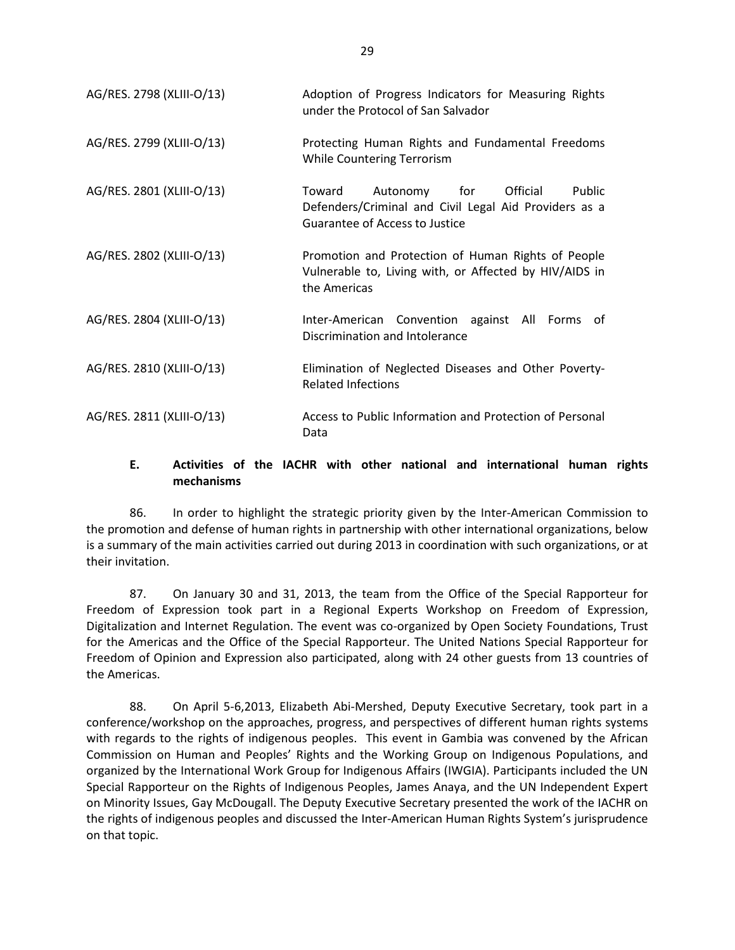| AG/RES. 2798 (XLIII-O/13) | Adoption of Progress Indicators for Measuring Rights<br>under the Protocol of San Salvador                                              |
|---------------------------|-----------------------------------------------------------------------------------------------------------------------------------------|
| AG/RES. 2799 (XLIII-O/13) | Protecting Human Rights and Fundamental Freedoms<br>While Countering Terrorism                                                          |
| AG/RES. 2801 (XLIII-O/13) | Official<br>Toward<br>Autonomy for<br>Public<br>Defenders/Criminal and Civil Legal Aid Providers as a<br>Guarantee of Access to Justice |
| AG/RES. 2802 (XLIII-O/13) | Promotion and Protection of Human Rights of People<br>Vulnerable to, Living with, or Affected by HIV/AIDS in<br>the Americas            |
| AG/RES. 2804 (XLIII-O/13) | Inter-American Convention against All Forms of<br>Discrimination and Intolerance                                                        |
| AG/RES. 2810 (XLIII-O/13) | Elimination of Neglected Diseases and Other Poverty-<br><b>Related Infections</b>                                                       |
| AG/RES. 2811 (XLIII-O/13) | Access to Public Information and Protection of Personal<br>Data                                                                         |

#### **E. Activities of the IACHR with other national and international human rights mechanisms**

86. In order to highlight the strategic priority given by the Inter-American Commission to the promotion and defense of human rights in partnership with other international organizations, below is a summary of the main activities carried out during 2013 in coordination with such organizations, or at their invitation.

87. On January 30 and 31, 2013, the team from the Office of the Special Rapporteur for Freedom of Expression took part in a Regional Experts Workshop on Freedom of Expression, Digitalization and Internet Regulation. The event was co-organized by Open Society Foundations, Trust for the Americas and the Office of the Special Rapporteur. The United Nations Special Rapporteur for Freedom of Opinion and Expression also participated, along with 24 other guests from 13 countries of the Americas.

88. On April 5-6,2013, Elizabeth Abi-Mershed, Deputy Executive Secretary, took part in a conference/workshop on the approaches, progress, and perspectives of different human rights systems with regards to the rights of indigenous peoples. This event in Gambia was convened by the African Commission on Human and Peoples' Rights and the Working Group on Indigenous Populations, and organized by the International Work Group for Indigenous Affairs (IWGIA). Participants included the UN Special Rapporteur on the Rights of Indigenous Peoples, James Anaya, and the UN Independent Expert on Minority Issues, Gay McDougall. The Deputy Executive Secretary presented the work of the IACHR on the rights of indigenous peoples and discussed the Inter-American Human Rights System's jurisprudence on that topic.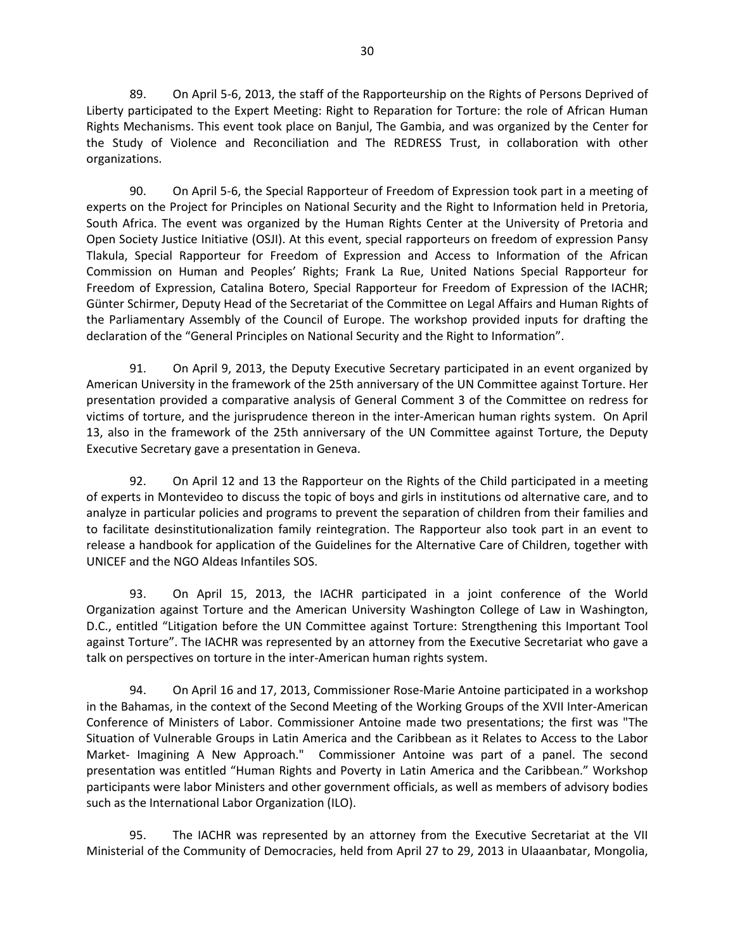89. On April 5-6, 2013, the staff of the Rapporteurship on the Rights of Persons Deprived of Liberty participated to the Expert Meeting: Right to Reparation for Torture: the role of African Human Rights Mechanisms. This event took place on Banjul, The Gambia, and was organized by the Center for the Study of Violence and Reconciliation and The REDRESS Trust, in collaboration with other organizations.

90. On April 5-6, the Special Rapporteur of Freedom of Expression took part in a meeting of experts on the Project for Principles on National Security and the Right to Information held in Pretoria, South Africa. The event was organized by the Human Rights Center at the University of Pretoria and Open Society Justice Initiative (OSJI). At this event, special rapporteurs on freedom of expression Pansy Tlakula, Special Rapporteur for Freedom of Expression and Access to Information of the African Commission on Human and Peoples' Rights; Frank La Rue, United Nations Special Rapporteur for Freedom of Expression, Catalina Botero, Special Rapporteur for Freedom of Expression of the IACHR; Günter Schirmer, Deputy Head of the Secretariat of the Committee on Legal Affairs and Human Rights of the Parliamentary Assembly of the Council of Europe. The workshop provided inputs for drafting the declaration of the "General Principles on National Security and the Right to Information".

91. On April 9, 2013, the Deputy Executive Secretary participated in an event organized by American University in the framework of the 25th anniversary of the UN Committee against Torture. Her presentation provided a comparative analysis of General Comment 3 of the Committee on redress for victims of torture, and the jurisprudence thereon in the inter-American human rights system. On April 13, also in the framework of the 25th anniversary of the UN Committee against Torture, the Deputy Executive Secretary gave a presentation in Geneva.

92. On April 12 and 13 the Rapporteur on the Rights of the Child participated in a meeting of experts in Montevideo to discuss the topic of boys and girls in institutions od alternative care, and to analyze in particular policies and programs to prevent the separation of children from their families and to facilitate desinstitutionalization family reintegration. The Rapporteur also took part in an event to release a handbook for application of the Guidelines for the Alternative Care of Children, together with UNICEF and the NGO Aldeas Infantiles SOS.

93. On April 15, 2013, the IACHR participated in a joint conference of the World Organization against Torture and the American University Washington College of Law in Washington, D.C., entitled "Litigation before the UN Committee against Torture: Strengthening this Important Tool against Torture". The IACHR was represented by an attorney from the Executive Secretariat who gave a talk on perspectives on torture in the inter-American human rights system.

94. On April 16 and 17, 2013, Commissioner Rose-Marie Antoine participated in a workshop in the Bahamas, in the context of the Second Meeting of the Working Groups of the XVII Inter-American Conference of Ministers of Labor. Commissioner Antoine made two presentations; the first was "The Situation of Vulnerable Groups in Latin America and the Caribbean as it Relates to Access to the Labor Market- Imagining A New Approach." Commissioner Antoine was part of a panel. The second presentation was entitled "Human Rights and Poverty in Latin America and the Caribbean." Workshop participants were labor Ministers and other government officials, as well as members of advisory bodies such as the International Labor Organization (ILO).

95. The IACHR was represented by an attorney from the Executive Secretariat at the VII Ministerial of the Community of Democracies, held from April 27 to 29, 2013 in Ulaaanbatar, Mongolia,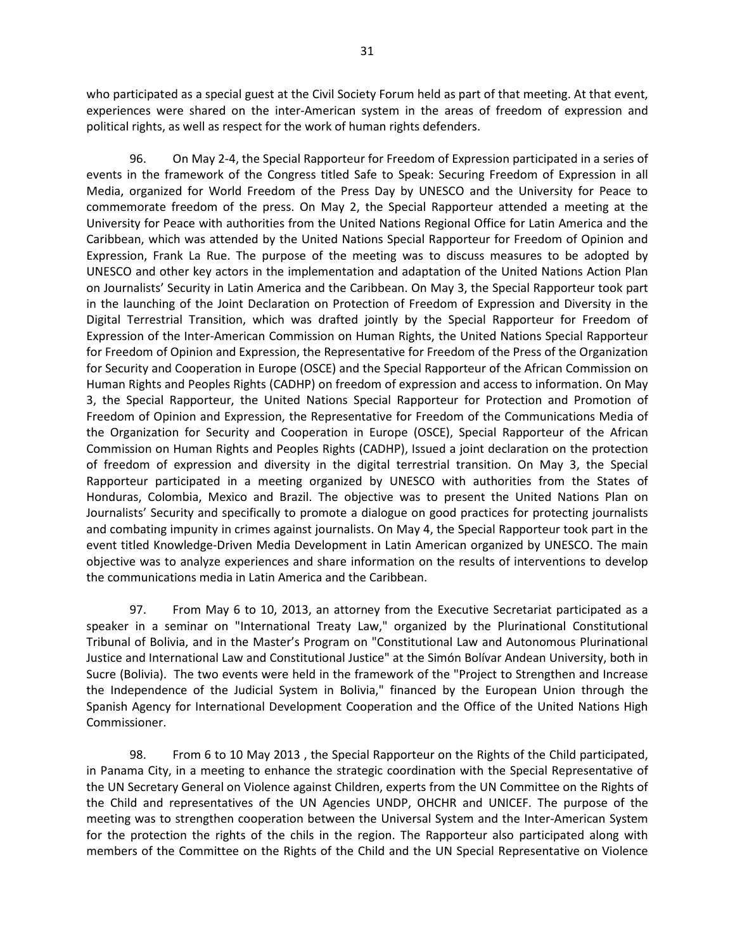who participated as a special guest at the Civil Society Forum held as part of that meeting. At that event, experiences were shared on the inter-American system in the areas of freedom of expression and political rights, as well as respect for the work of human rights defenders.

96. On May 2-4, the Special Rapporteur for Freedom of Expression participated in a series of events in the framework of the Congress titled Safe to Speak: Securing Freedom of Expression in all Media, organized for World Freedom of the Press Day by UNESCO and the University for Peace to commemorate freedom of the press. On May 2, the Special Rapporteur attended a meeting at the University for Peace with authorities from the United Nations Regional Office for Latin America and the Caribbean, which was attended by the United Nations Special Rapporteur for Freedom of Opinion and Expression, Frank La Rue. The purpose of the meeting was to discuss measures to be adopted by UNESCO and other key actors in the implementation and adaptation of the United Nations Action Plan on Journalists' Security in Latin America and the Caribbean. On May 3, the Special Rapporteur took part in the launching of the Joint Declaration on Protection of Freedom of Expression and Diversity in the Digital Terrestrial Transition, which was drafted jointly by the Special Rapporteur for Freedom of Expression of the Inter-American Commission on Human Rights, the United Nations Special Rapporteur for Freedom of Opinion and Expression, the Representative for Freedom of the Press of the Organization for Security and Cooperation in Europe (OSCE) and the Special Rapporteur of the African Commission on Human Rights and Peoples Rights (CADHP) on freedom of expression and access to information. On May 3, the Special Rapporteur, the United Nations Special Rapporteur for Protection and Promotion of Freedom of Opinion and Expression, the Representative for Freedom of the Communications Media of the Organization for Security and Cooperation in Europe (OSCE), Special Rapporteur of the African Commission on Human Rights and Peoples Rights (CADHP), Issued a joint declaration on the protection of freedom of expression and diversity in the digital terrestrial transition. On May 3, the Special Rapporteur participated in a meeting organized by UNESCO with authorities from the States of Honduras, Colombia, Mexico and Brazil. The objective was to present the United Nations Plan on Journalists' Security and specifically to promote a dialogue on good practices for protecting journalists and combating impunity in crimes against journalists. On May 4, the Special Rapporteur took part in the event titled Knowledge-Driven Media Development in Latin American organized by UNESCO. The main objective was to analyze experiences and share information on the results of interventions to develop the communications media in Latin America and the Caribbean.

97. From May 6 to 10, 2013, an attorney from the Executive Secretariat participated as a speaker in a seminar on "International Treaty Law," organized by the Plurinational Constitutional Tribunal of Bolivia, and in the Master's Program on "Constitutional Law and Autonomous Plurinational Justice and International Law and Constitutional Justice" at the Simón Bolívar Andean University, both in Sucre (Bolivia). The two events were held in the framework of the "Project to Strengthen and Increase the Independence of the Judicial System in Bolivia," financed by the European Union through the Spanish Agency for International Development Cooperation and the Office of the United Nations High Commissioner.

98. From 6 to 10 May 2013 , the Special Rapporteur on the Rights of the Child participated, in Panama City, in a meeting to enhance the strategic coordination with the Special Representative of the UN Secretary General on Violence against Children, experts from the UN Committee on the Rights of the Child and representatives of the UN Agencies UNDP, OHCHR and UNICEF. The purpose of the meeting was to strengthen cooperation between the Universal System and the Inter-American System for the protection the rights of the chils in the region. The Rapporteur also participated along with members of the Committee on the Rights of the Child and the UN Special Representative on Violence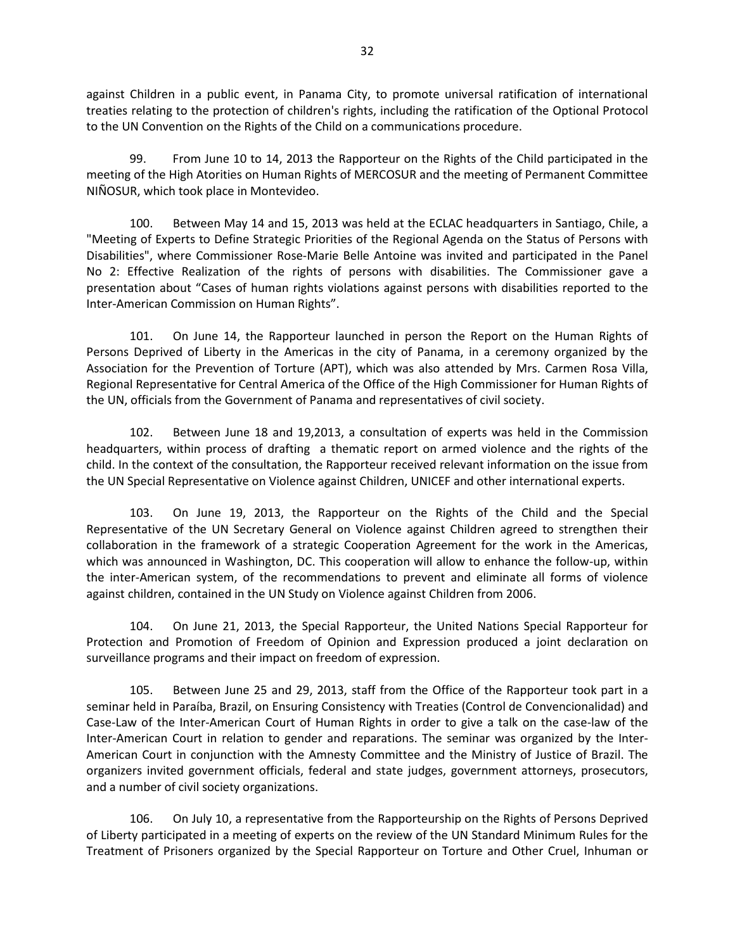against Children in a public event, in Panama City, to promote universal ratification of international treaties relating to the protection of children's rights, including the ratification of the Optional Protocol to the UN Convention on the Rights of the Child on a communications procedure.

99. From June 10 to 14, 2013 the Rapporteur on the Rights of the Child participated in the meeting of the High Atorities on Human Rights of MERCOSUR and the meeting of Permanent Committee NIÑOSUR, which took place in Montevideo.

100. Between May 14 and 15, 2013 was held at the ECLAC headquarters in Santiago, Chile, a "Meeting of Experts to Define Strategic Priorities of the Regional Agenda on the Status of Persons with Disabilities", where Commissioner Rose-Marie Belle Antoine was invited and participated in the Panel No 2: Effective Realization of the rights of persons with disabilities. The Commissioner gave a presentation about "Cases of human rights violations against persons with disabilities reported to the Inter-American Commission on Human Rights".

101. On June 14, the Rapporteur launched in person the Report on the Human Rights of Persons Deprived of Liberty in the Americas in the city of Panama, in a ceremony organized by the Association for the Prevention of Torture (APT), which was also attended by Mrs. Carmen Rosa Villa, Regional Representative for Central America of the Office of the High Commissioner for Human Rights of the UN, officials from the Government of Panama and representatives of civil society.

102. Between June 18 and 19,2013, a consultation of experts was held in the Commission headquarters, within process of drafting a thematic report on armed violence and the rights of the child. In the context of the consultation, the Rapporteur received relevant information on the issue from the UN Special Representative on Violence against Children, UNICEF and other international experts.

103. On June 19, 2013, the Rapporteur on the Rights of the Child and the Special Representative of the UN Secretary General on Violence against Children agreed to strengthen their collaboration in the framework of a strategic Cooperation Agreement for the work in the Americas, which was announced in Washington, DC. This cooperation will allow to enhance the follow-up, within the inter-American system, of the recommendations to prevent and eliminate all forms of violence against children, contained in the UN Study on Violence against Children from 2006.

104. On June 21, 2013, the Special Rapporteur, the United Nations Special Rapporteur for Protection and Promotion of Freedom of Opinion and Expression produced a joint declaration on surveillance programs and their impact on freedom of expression.

105. Between June 25 and 29, 2013, staff from the Office of the Rapporteur took part in a seminar held in Paraíba, Brazil, on Ensuring Consistency with Treaties (Control de Convencionalidad) and Case-Law of the Inter-American Court of Human Rights in order to give a talk on the case-law of the Inter-American Court in relation to gender and reparations. The seminar was organized by the Inter-American Court in conjunction with the Amnesty Committee and the Ministry of Justice of Brazil. The organizers invited government officials, federal and state judges, government attorneys, prosecutors, and a number of civil society organizations.

106. On July 10, a representative from the Rapporteurship on the Rights of Persons Deprived of Liberty participated in a meeting of experts on the review of the UN Standard Minimum Rules for the Treatment of Prisoners organized by the Special Rapporteur on Torture and Other Cruel, Inhuman or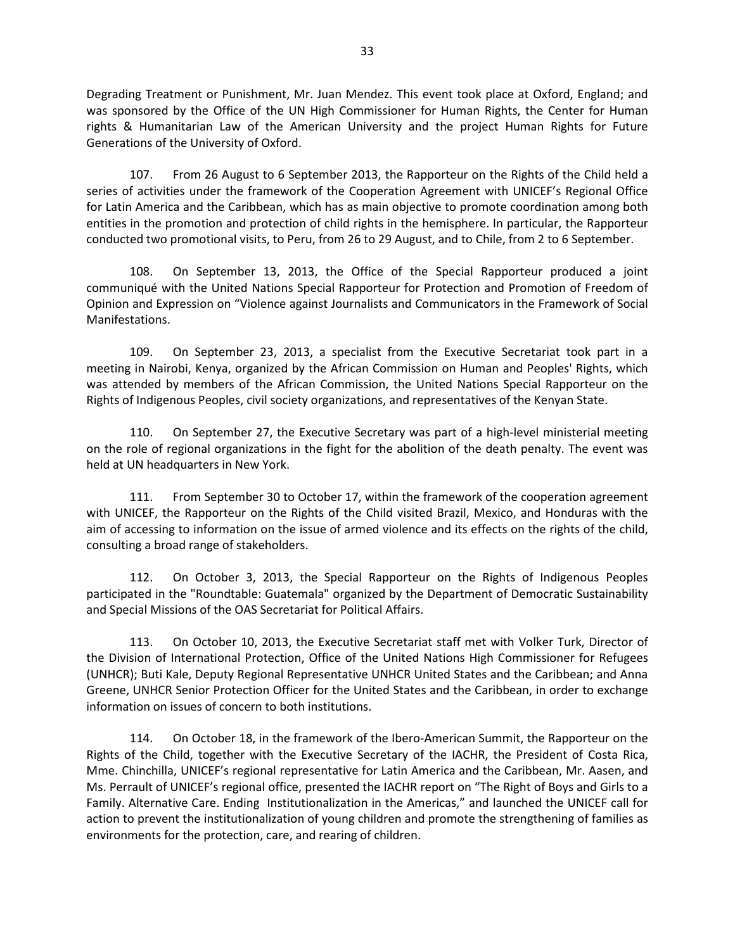Degrading Treatment or Punishment, Mr. Juan Mendez. This event took place at Oxford, England; and was sponsored by the Office of the UN High Commissioner for Human Rights, the Center for Human rights & Humanitarian Law of the American University and the project Human Rights for Future Generations of the University of Oxford.

107. From 26 August to 6 September 2013, the Rapporteur on the Rights of the Child held a series of activities under the framework of the Cooperation Agreement with UNICEF's Regional Office for Latin America and the Caribbean, which has as main objective to promote coordination among both entities in the promotion and protection of child rights in the hemisphere. In particular, the Rapporteur conducted two promotional visits, to Peru, from 26 to 29 August, and to Chile, from 2 to 6 September.

108. On September 13, 2013, the Office of the Special Rapporteur produced a joint communiqué with the United Nations Special Rapporteur for Protection and Promotion of Freedom of Opinion and Expression on "Violence against Journalists and Communicators in the Framework of Social Manifestations.

109. On September 23, 2013, a specialist from the Executive Secretariat took part in a meeting in Nairobi, Kenya, organized by the African Commission on Human and Peoples' Rights, which was attended by members of the African Commission, the United Nations Special Rapporteur on the Rights of Indigenous Peoples, civil society organizations, and representatives of the Kenyan State.

110. On September 27, the Executive Secretary was part of a high-level ministerial meeting on the role of regional organizations in the fight for the abolition of the death penalty. The event was held at UN headquarters in New York.

111. From September 30 to October 17, within the framework of the cooperation agreement with UNICEF, the Rapporteur on the Rights of the Child visited Brazil, Mexico, and Honduras with the aim of accessing to information on the issue of armed violence and its effects on the rights of the child, consulting a broad range of stakeholders.

112. On October 3, 2013, the Special Rapporteur on the Rights of Indigenous Peoples participated in the "Roundtable: Guatemala" organized by the Department of Democratic Sustainability and Special Missions of the OAS Secretariat for Political Affairs.

113. On October 10, 2013, the Executive Secretariat staff met with Volker Turk, Director of the Division of International Protection, Office of the United Nations High Commissioner for Refugees (UNHCR); Buti Kale, Deputy Regional Representative UNHCR United States and the Caribbean; and Anna Greene, UNHCR Senior Protection Officer for the United States and the Caribbean, in order to exchange information on issues of concern to both institutions.

114. On October 18, in the framework of the Ibero-American Summit, the Rapporteur on the Rights of the Child, together with the Executive Secretary of the IACHR, the President of Costa Rica, Mme. Chinchilla, UNICEF's regional representative for Latin America and the Caribbean, Mr. Aasen, and Ms. Perrault of UNICEF's regional office, presented the IACHR report on "The Right of Boys and Girls to a Family. Alternative Care. Ending Institutionalization in the Americas," and launched the UNICEF call for action to prevent the institutionalization of young children and promote the strengthening of families as environments for the protection, care, and rearing of children.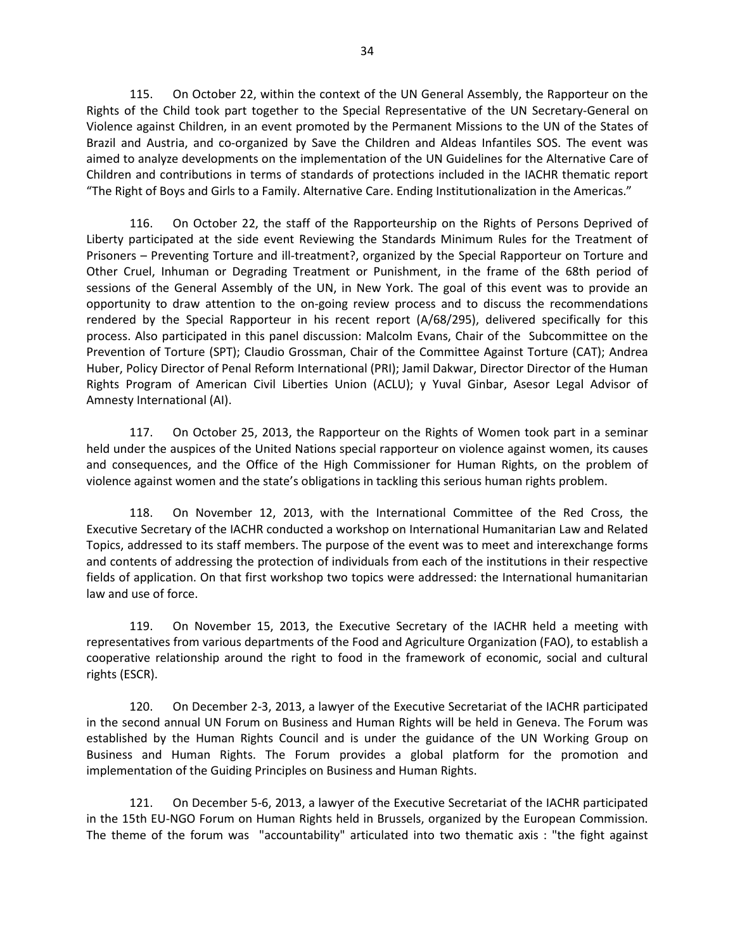115. On October 22, within the context of the UN General Assembly, the Rapporteur on the Rights of the Child took part together to the Special Representative of the UN Secretary-General on Violence against Children, in an event promoted by the Permanent Missions to the UN of the States of Brazil and Austria, and co-organized by Save the Children and Aldeas Infantiles SOS. The event was aimed to analyze developments on the implementation of the UN Guidelines for the Alternative Care of Children and contributions in terms of standards of protections included in the IACHR thematic report "The Right of Boys and Girls to a Family. Alternative Care. Ending Institutionalization in the Americas."

116. On October 22, the staff of the Rapporteurship on the Rights of Persons Deprived of Liberty participated at the side event Reviewing the Standards Minimum Rules for the Treatment of Prisoners – Preventing Torture and ill-treatment?, organized by the Special Rapporteur on Torture and Other Cruel, Inhuman or Degrading Treatment or Punishment, in the frame of the 68th period of sessions of the General Assembly of the UN, in New York. The goal of this event was to provide an opportunity to draw attention to the on-going review process and to discuss the recommendations rendered by the Special Rapporteur in his recent report (A/68/295), delivered specifically for this process. Also participated in this panel discussion: Malcolm Evans, Chair of the Subcommittee on the Prevention of Torture (SPT); Claudio Grossman, Chair of the Committee Against Torture (CAT); Andrea Huber, Policy Director of Penal Reform International (PRI); Jamil Dakwar, Director Director of the Human Rights Program of American Civil Liberties Union (ACLU); y Yuval Ginbar, Asesor Legal Advisor of Amnesty International (AI).

117. On October 25, 2013, the Rapporteur on the Rights of Women took part in a seminar held under the auspices of the United Nations special rapporteur on violence against women, its causes and consequences, and the Office of the High Commissioner for Human Rights, on the problem of violence against women and the state's obligations in tackling this serious human rights problem.

118. On November 12, 2013, with the International Committee of the Red Cross, the Executive Secretary of the IACHR conducted a workshop on International Humanitarian Law and Related Topics, addressed to its staff members. The purpose of the event was to meet and interexchange forms and contents of addressing the protection of individuals from each of the institutions in their respective fields of application. On that first workshop two topics were addressed: the International humanitarian law and use of force.

119. On November 15, 2013, the Executive Secretary of the IACHR held a meeting with representatives from various departments of the Food and Agriculture Organization (FAO), to establish a cooperative relationship around the right to food in the framework of economic, social and cultural rights (ESCR).

120. On December 2-3, 2013, a lawyer of the Executive Secretariat of the IACHR participated in the second annual UN Forum on Business and Human Rights will be held in Geneva. The Forum was established by the Human Rights Council and is under the guidance of the UN Working Group on Business and Human Rights. The Forum provides a global platform for the promotion and implementation of the Guiding Principles on Business and Human Rights.

121. On December 5-6, 2013, a lawyer of the Executive Secretariat of the IACHR participated in the 15th EU-NGO Forum on Human Rights held in Brussels, organized by the European Commission. The theme of the forum was "accountability" articulated into two thematic axis : "the fight against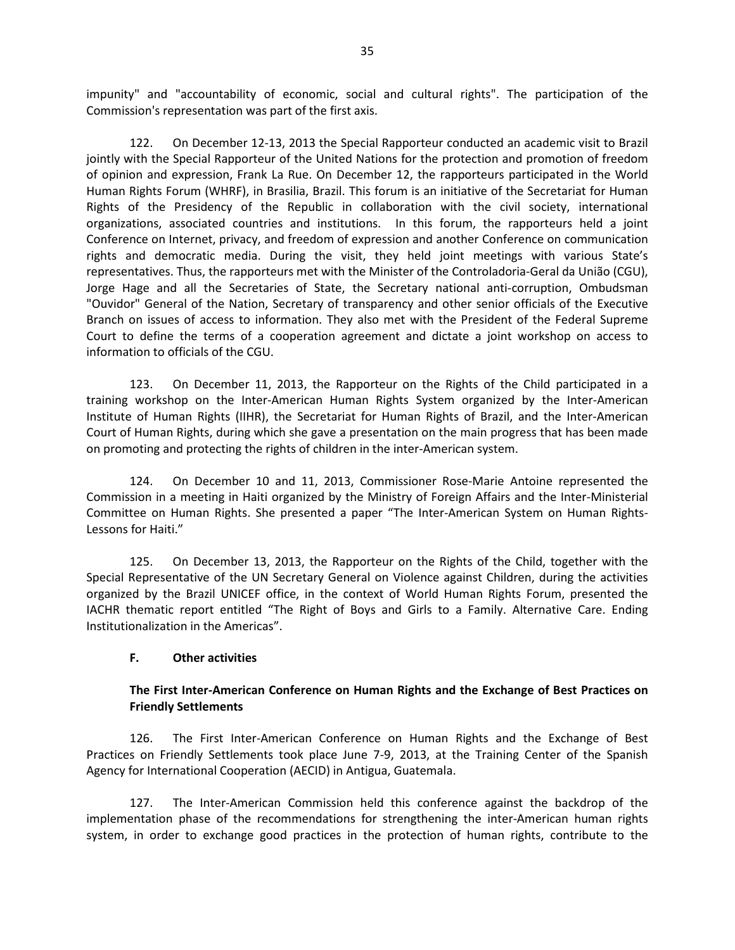impunity" and "accountability of economic, social and cultural rights". The participation of the Commission's representation was part of the first axis.

122. On December 12-13, 2013 the Special Rapporteur conducted an academic visit to Brazil jointly with the Special Rapporteur of the United Nations for the protection and promotion of freedom of opinion and expression, Frank La Rue. On December 12, the rapporteurs participated in the World Human Rights Forum (WHRF), in Brasilia, Brazil. This forum is an initiative of the Secretariat for Human Rights of the Presidency of the Republic in collaboration with the civil society, international organizations, associated countries and institutions. In this forum, the rapporteurs held a joint Conference on Internet, privacy, and freedom of expression and another Conference on communication rights and democratic media. During the visit, they held joint meetings with various State's representatives. Thus, the rapporteurs met with the Minister of the Controladoria-Geral da União (CGU), Jorge Hage and all the Secretaries of State, the Secretary national anti-corruption, Ombudsman "Ouvidor" General of the Nation, Secretary of transparency and other senior officials of the Executive Branch on issues of access to information. They also met with the President of the Federal Supreme Court to define the terms of a cooperation agreement and dictate a joint workshop on access to information to officials of the CGU.

123. On December 11, 2013, the Rapporteur on the Rights of the Child participated in a training workshop on the Inter-American Human Rights System organized by the Inter-American Institute of Human Rights (IIHR), the Secretariat for Human Rights of Brazil, and the Inter-American Court of Human Rights, during which she gave a presentation on the main progress that has been made on promoting and protecting the rights of children in the inter-American system.

124. On December 10 and 11, 2013, Commissioner Rose-Marie Antoine represented the Commission in a meeting in Haiti organized by the Ministry of Foreign Affairs and the Inter-Ministerial Committee on Human Rights. She presented a paper "The Inter-American System on Human Rights-Lessons for Haiti."

125. On December 13, 2013, the Rapporteur on the Rights of the Child, together with the Special Representative of the UN Secretary General on Violence against Children, during the activities organized by the Brazil UNICEF office, in the context of World Human Rights Forum, presented the IACHR thematic report entitled "The Right of Boys and Girls to a Family. Alternative Care. Ending Institutionalization in the Americas".

#### **F. Other activities**

#### **The First Inter-American Conference on Human Rights and the Exchange of Best Practices on Friendly Settlements**

126. The First Inter-American Conference on Human Rights and the Exchange of Best Practices on Friendly Settlements took place June 7-9, 2013, at the Training Center of the Spanish Agency for International Cooperation (AECID) in Antigua, Guatemala.

127. The Inter-American Commission held this conference against the backdrop of the implementation phase of the recommendations for strengthening the inter-American human rights system, in order to exchange good practices in the protection of human rights, contribute to the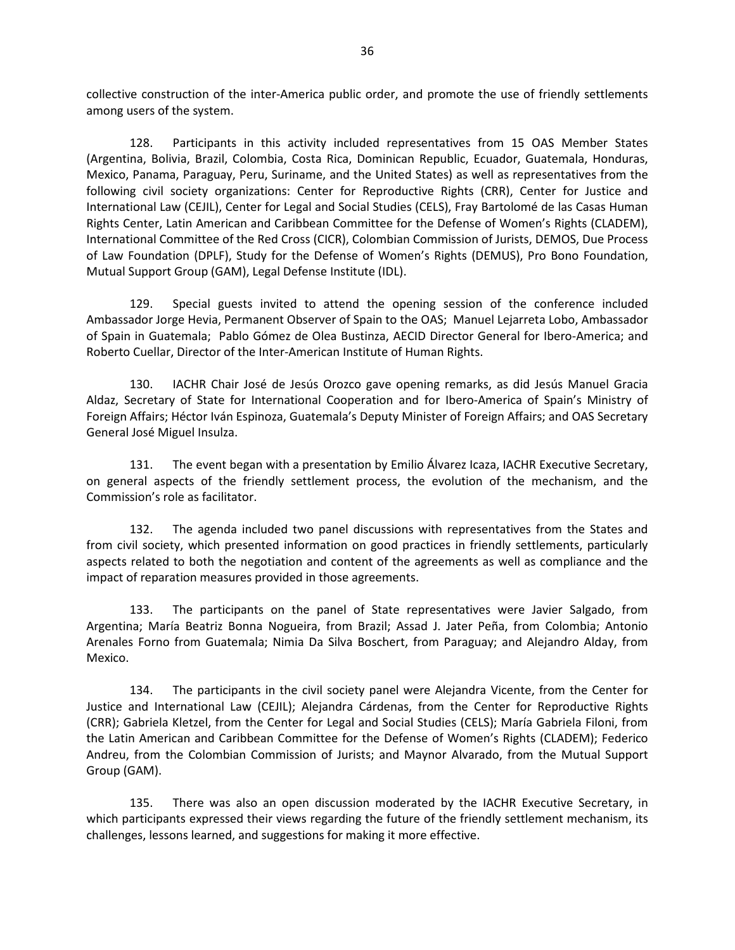collective construction of the inter-America public order, and promote the use of friendly settlements among users of the system.

128. Participants in this activity included representatives from 15 OAS Member States (Argentina, Bolivia, Brazil, Colombia, Costa Rica, Dominican Republic, Ecuador, Guatemala, Honduras, Mexico, Panama, Paraguay, Peru, Suriname, and the United States) as well as representatives from the following civil society organizations: Center for Reproductive Rights (CRR), Center for Justice and International Law (CEJIL), Center for Legal and Social Studies (CELS), Fray Bartolomé de las Casas Human Rights Center, Latin American and Caribbean Committee for the Defense of Women's Rights (CLADEM), International Committee of the Red Cross (CICR), Colombian Commission of Jurists, DEMOS, Due Process of Law Foundation (DPLF), Study for the Defense of Women's Rights (DEMUS), Pro Bono Foundation, Mutual Support Group (GAM), Legal Defense Institute (IDL).

129. Special guests invited to attend the opening session of the conference included Ambassador Jorge Hevia, Permanent Observer of Spain to the OAS; Manuel Lejarreta Lobo, Ambassador of Spain in Guatemala; Pablo Gómez de Olea Bustinza, AECID Director General for Ibero-America; and Roberto Cuellar, Director of the Inter-American Institute of Human Rights.

130. IACHR Chair José de Jesús Orozco gave opening remarks, as did Jesús Manuel Gracia Aldaz, Secretary of State for International Cooperation and for Ibero-America of Spain's Ministry of Foreign Affairs; Héctor Iván Espinoza, Guatemala's Deputy Minister of Foreign Affairs; and OAS Secretary General José Miguel Insulza.

131. The event began with a presentation by Emilio Álvarez Icaza, IACHR Executive Secretary, on general aspects of the friendly settlement process, the evolution of the mechanism, and the Commission's role as facilitator.

132. The agenda included two panel discussions with representatives from the States and from civil society, which presented information on good practices in friendly settlements, particularly aspects related to both the negotiation and content of the agreements as well as compliance and the impact of reparation measures provided in those agreements.

133. The participants on the panel of State representatives were Javier Salgado, from Argentina; María Beatriz Bonna Nogueira, from Brazil; Assad J. Jater Peña, from Colombia; Antonio Arenales Forno from Guatemala; Nimia Da Silva Boschert, from Paraguay; and Alejandro Alday, from Mexico.

134. The participants in the civil society panel were Alejandra Vicente, from the Center for Justice and International Law (CEJIL); Alejandra Cárdenas, from the Center for Reproductive Rights (CRR); Gabriela Kletzel, from the Center for Legal and Social Studies (CELS); María Gabriela Filoni, from the Latin American and Caribbean Committee for the Defense of Women's Rights (CLADEM); Federico Andreu, from the Colombian Commission of Jurists; and Maynor Alvarado, from the Mutual Support Group (GAM).

135. There was also an open discussion moderated by the IACHR Executive Secretary, in which participants expressed their views regarding the future of the friendly settlement mechanism, its challenges, lessons learned, and suggestions for making it more effective.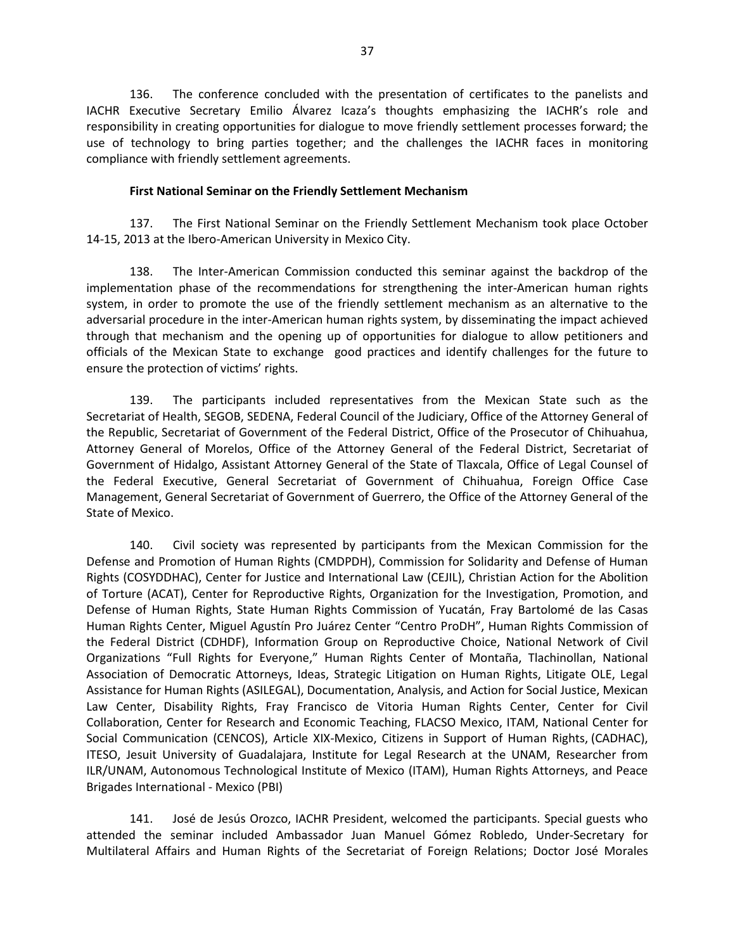136. The conference concluded with the presentation of certificates to the panelists and IACHR Executive Secretary Emilio Álvarez Icaza's thoughts emphasizing the IACHR's role and responsibility in creating opportunities for dialogue to move friendly settlement processes forward; the use of technology to bring parties together; and the challenges the IACHR faces in monitoring compliance with friendly settlement agreements.

#### **First National Seminar on the Friendly Settlement Mechanism**

137. The First National Seminar on the Friendly Settlement Mechanism took place October 14-15, 2013 at the Ibero-American University in Mexico City.

138. The Inter-American Commission conducted this seminar against the backdrop of the implementation phase of the recommendations for strengthening the inter-American human rights system, in order to promote the use of the friendly settlement mechanism as an alternative to the adversarial procedure in the inter-American human rights system, by disseminating the impact achieved through that mechanism and the opening up of opportunities for dialogue to allow petitioners and officials of the Mexican State to exchange good practices and identify challenges for the future to ensure the protection of victims' rights.

139. The participants included representatives from the Mexican State such as the Secretariat of Health, SEGOB, SEDENA, Federal Council of the Judiciary, Office of the Attorney General of the Republic, Secretariat of Government of the Federal District, Office of the Prosecutor of Chihuahua, Attorney General of Morelos, Office of the Attorney General of the Federal District, Secretariat of Government of Hidalgo, Assistant Attorney General of the State of Tlaxcala, Office of Legal Counsel of the Federal Executive, General Secretariat of Government of Chihuahua, Foreign Office Case Management, General Secretariat of Government of Guerrero, the Office of the Attorney General of the State of Mexico.

140. Civil society was represented by participants from the Mexican Commission for the Defense and Promotion of Human Rights (CMDPDH), Commission for Solidarity and Defense of Human Rights (COSYDDHAC), Center for Justice and International Law (CEJIL), Christian Action for the Abolition of Torture (ACAT), Center for Reproductive Rights, Organization for the Investigation, Promotion, and Defense of Human Rights, State Human Rights Commission of Yucatán, Fray Bartolomé de las Casas Human Rights Center, Miguel Agustín Pro Juárez Center "Centro ProDH", Human Rights Commission of the Federal District (CDHDF), Information Group on Reproductive Choice, National Network of Civil Organizations "Full Rights for Everyone," Human Rights Center of Montaña, Tlachinollan, National Association of Democratic Attorneys, Ideas, Strategic Litigation on Human Rights, Litigate OLE, Legal Assistance for Human Rights (ASILEGAL), Documentation, Analysis, and Action for Social Justice, Mexican Law Center, Disability Rights, Fray Francisco de Vitoria Human Rights Center, Center for Civil Collaboration, Center for Research and Economic Teaching, FLACSO Mexico, ITAM, National Center for Social Communication (CENCOS), Article XIX-Mexico, Citizens in Support of Human Rights, (CADHAC), ITESO, Jesuit University of Guadalajara, Institute for Legal Research at the UNAM, Researcher from ILR/UNAM, Autonomous Technological Institute of Mexico (ITAM), Human Rights Attorneys, and Peace Brigades International - Mexico (PBI)

141. José de Jesús Orozco, IACHR President, welcomed the participants. Special guests who attended the seminar included Ambassador Juan Manuel Gómez Robledo, Under-Secretary for Multilateral Affairs and Human Rights of the Secretariat of Foreign Relations; Doctor José Morales